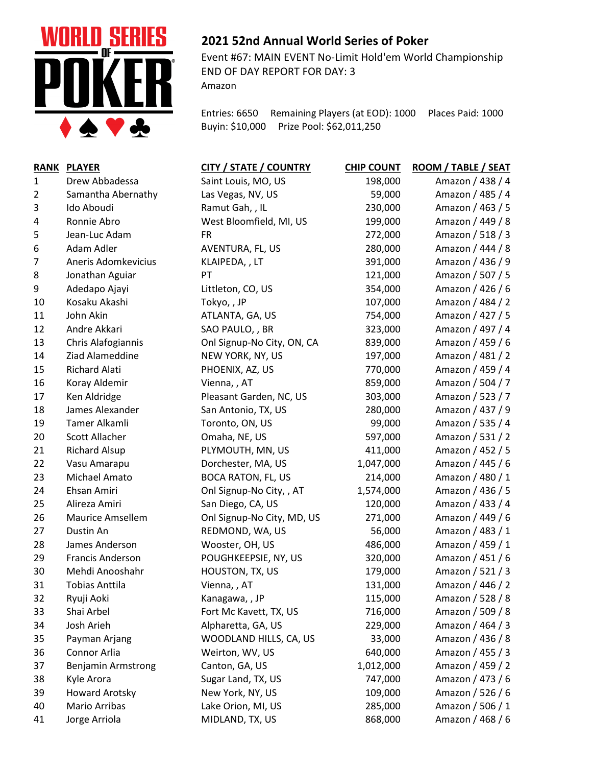

## **2021 52nd Annual World Series of Poker**

Event #67: MAIN EVENT No-Limit Hold'em World Championship END OF DAY REPORT FOR DAY: 3 Amazon

Entries: 6650 Remaining Players (at EOD): 1000 Places Paid: 1000 Buyin: \$10,000 Prize Pool: \$62,011,250

|    | RANK PLAYER               | <b>CITY / STATE / COUNTRY</b> | <b>CHIP COUNT</b> | <b>ROOM / TABLE / SEAT</b> |
|----|---------------------------|-------------------------------|-------------------|----------------------------|
| 1  | Drew Abbadessa            | Saint Louis, MO, US           | 198,000           | Amazon / 438 / 4           |
| 2  | Samantha Abernathy        | Las Vegas, NV, US             | 59,000            | Amazon / 485 / 4           |
| 3  | Ido Aboudi                | Ramut Gah, , IL               | 230,000           | Amazon / 463 / 5           |
| 4  | Ronnie Abro               | West Bloomfield, MI, US       | 199,000           | Amazon / 449 / 8           |
| 5  | Jean-Luc Adam             | <b>FR</b>                     | 272,000           | Amazon / 518 / 3           |
| 6  | Adam Adler                | AVENTURA, FL, US              | 280,000           | Amazon / 444 / 8           |
| 7  | Aneris Adomkevicius       | KLAIPEDA, , LT                | 391,000           | Amazon / 436 / 9           |
| 8  | Jonathan Aguiar           | PT                            | 121,000           | Amazon / 507 / 5           |
| 9  | Adedapo Ajayi             | Littleton, CO, US             | 354,000           | Amazon / 426 / 6           |
| 10 | Kosaku Akashi             | Tokyo,, JP                    | 107,000           | Amazon / 484 / 2           |
| 11 | John Akin                 | ATLANTA, GA, US               | 754,000           | Amazon / 427 / 5           |
| 12 | Andre Akkari              | SAO PAULO, , BR               | 323,000           | Amazon / 497 / 4           |
| 13 | Chris Alafogiannis        | Onl Signup-No City, ON, CA    | 839,000           | Amazon / 459 / 6           |
| 14 | Ziad Alameddine           | NEW YORK, NY, US              | 197,000           | Amazon / 481 / 2           |
| 15 | <b>Richard Alati</b>      | PHOENIX, AZ, US               | 770,000           | Amazon / 459 / 4           |
| 16 | Koray Aldemir             | Vienna, , AT                  | 859,000           | Amazon / 504 / 7           |
| 17 | Ken Aldridge              | Pleasant Garden, NC, US       | 303,000           | Amazon / 523 / 7           |
| 18 | James Alexander           | San Antonio, TX, US           | 280,000           | Amazon / 437 / 9           |
| 19 | Tamer Alkamli             | Toronto, ON, US               | 99,000            | Amazon / 535 / 4           |
| 20 | <b>Scott Allacher</b>     | Omaha, NE, US                 | 597,000           | Amazon / 531 / 2           |
| 21 | <b>Richard Alsup</b>      | PLYMOUTH, MN, US              | 411,000           | Amazon / 452 / 5           |
| 22 | Vasu Amarapu              | Dorchester, MA, US            | 1,047,000         | Amazon / 445 / 6           |
| 23 | Michael Amato             | <b>BOCA RATON, FL, US</b>     | 214,000           | Amazon / 480 / 1           |
| 24 | Ehsan Amiri               | Onl Signup-No City, , AT      | 1,574,000         | Amazon / 436 / 5           |
| 25 | Alireza Amiri             | San Diego, CA, US             | 120,000           | Amazon / 433 / 4           |
| 26 | <b>Maurice Amsellem</b>   | Onl Signup-No City, MD, US    | 271,000           | Amazon / 449 / 6           |
| 27 | Dustin An                 | REDMOND, WA, US               | 56,000            | Amazon / 483 / 1           |
| 28 | James Anderson            | Wooster, OH, US               | 486,000           | Amazon / 459 / 1           |
| 29 | Francis Anderson          | POUGHKEEPSIE, NY, US          | 320,000           | Amazon / 451 / 6           |
| 30 | Mehdi Anooshahr           | HOUSTON, TX, US               | 179,000           | Amazon / 521 / 3           |
| 31 | <b>Tobias Anttila</b>     | Vienna, , AT                  | 131,000           | Amazon / 446 / 2           |
| 32 | Ryuji Aoki                | Kanagawa, , JP                | 115,000           | Amazon / 528 / 8           |
| 33 | Shai Arbel                | Fort Mc Kavett, TX, US        | 716,000           | Amazon / 509 / 8           |
| 34 | Josh Arieh                | Alpharetta, GA, US            | 229,000           | Amazon / 464 / 3           |
| 35 | Payman Arjang             | WOODLAND HILLS, CA, US        | 33,000            | Amazon / 436 / 8           |
| 36 | Connor Arlia              | Weirton, WV, US               | 640,000           | Amazon / 455 / 3           |
| 37 | <b>Benjamin Armstrong</b> | Canton, GA, US                | 1,012,000         | Amazon / 459 / 2           |
| 38 | Kyle Arora                | Sugar Land, TX, US            | 747,000           | Amazon / 473 / 6           |
| 39 | <b>Howard Arotsky</b>     | New York, NY, US              | 109,000           | Amazon / 526 / 6           |
| 40 | Mario Arribas             | Lake Orion, MI, US            | 285,000           | Amazon / 506 / 1           |
| 41 | Jorge Arriola             | MIDLAND, TX, US               | 868,000           | Amazon / 468 / 6           |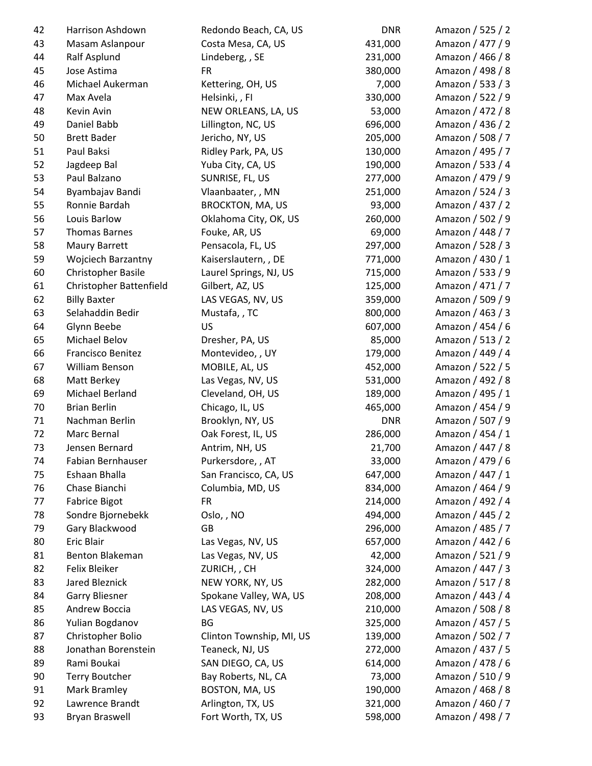| 42 | Harrison Ashdown          | Redondo Beach, CA, US    | <b>DNR</b> | Amazon / 525 / 2 |
|----|---------------------------|--------------------------|------------|------------------|
| 43 | Masam Aslanpour           | Costa Mesa, CA, US       | 431,000    | Amazon / 477 / 9 |
| 44 | Ralf Asplund              | Lindeberg, , SE          | 231,000    | Amazon / 466 / 8 |
| 45 | Jose Astima               | <b>FR</b>                | 380,000    | Amazon / 498 / 8 |
| 46 | Michael Aukerman          | Kettering, OH, US        | 7,000      | Amazon / 533 / 3 |
| 47 | Max Avela                 | Helsinki,, FI            | 330,000    | Amazon / 522 / 9 |
| 48 | Kevin Avin                | NEW ORLEANS, LA, US      | 53,000     | Amazon / 472 / 8 |
| 49 | Daniel Babb               | Lillington, NC, US       | 696,000    | Amazon / 436 / 2 |
| 50 | <b>Brett Bader</b>        | Jericho, NY, US          | 205,000    | Amazon / 508 / 7 |
| 51 | Paul Baksi                | Ridley Park, PA, US      | 130,000    | Amazon / 495 / 7 |
| 52 | Jagdeep Bal               | Yuba City, CA, US        | 190,000    | Amazon / 533 / 4 |
| 53 | Paul Balzano              | SUNRISE, FL, US          | 277,000    | Amazon / 479 / 9 |
| 54 | Byambajav Bandi           | Vlaanbaater,, MN         | 251,000    | Amazon / 524 / 3 |
| 55 | Ronnie Bardah             | <b>BROCKTON, MA, US</b>  | 93,000     | Amazon / 437 / 2 |
| 56 | Louis Barlow              | Oklahoma City, OK, US    | 260,000    | Amazon / 502 / 9 |
| 57 | <b>Thomas Barnes</b>      | Fouke, AR, US            | 69,000     | Amazon / 448 / 7 |
| 58 | Maury Barrett             | Pensacola, FL, US        | 297,000    | Amazon / 528 / 3 |
| 59 | <b>Wojciech Barzantny</b> | Kaiserslautern, , DE     | 771,000    | Amazon / 430 / 1 |
| 60 | Christopher Basile        | Laurel Springs, NJ, US   | 715,000    | Amazon / 533 / 9 |
| 61 | Christopher Battenfield   | Gilbert, AZ, US          | 125,000    | Amazon / 471 / 7 |
| 62 | <b>Billy Baxter</b>       | LAS VEGAS, NV, US        | 359,000    | Amazon / 509 / 9 |
| 63 | Selahaddin Bedir          | Mustafa, , TC            | 800,000    | Amazon / 463 / 3 |
| 64 | Glynn Beebe               | US                       | 607,000    | Amazon / 454 / 6 |
| 65 | Michael Belov             | Dresher, PA, US          | 85,000     | Amazon / 513 / 2 |
| 66 | Francisco Benitez         | Montevideo, , UY         | 179,000    | Amazon / 449 / 4 |
| 67 | William Benson            | MOBILE, AL, US           | 452,000    | Amazon / 522 / 5 |
| 68 | Matt Berkey               | Las Vegas, NV, US        | 531,000    | Amazon / 492 / 8 |
| 69 | Michael Berland           | Cleveland, OH, US        | 189,000    | Amazon / 495 / 1 |
| 70 | <b>Brian Berlin</b>       | Chicago, IL, US          | 465,000    | Amazon / 454 / 9 |
| 71 | Nachman Berlin            | Brooklyn, NY, US         | <b>DNR</b> | Amazon / 507 / 9 |
| 72 | Marc Bernal               | Oak Forest, IL, US       | 286,000    | Amazon / 454 / 1 |
| 73 | Jensen Bernard            | Antrim, NH, US           | 21,700     | Amazon / 447 / 8 |
| 74 | Fabian Bernhauser         | Purkersdore, , AT        | 33,000     | Amazon / 479 / 6 |
| 75 | Eshaan Bhalla             | San Francisco, CA, US    | 647,000    | Amazon / 447 / 1 |
| 76 | Chase Bianchi             | Columbia, MD, US         | 834,000    | Amazon / 464 / 9 |
| 77 | <b>Fabrice Bigot</b>      | <b>FR</b>                | 214,000    | Amazon / 492 / 4 |
| 78 | Sondre Bjornebekk         | Oslo, , NO               | 494,000    | Amazon / 445 / 2 |
| 79 | Gary Blackwood            | GB                       | 296,000    | Amazon / 485 / 7 |
| 80 | Eric Blair                | Las Vegas, NV, US        | 657,000    | Amazon / 442 / 6 |
| 81 | Benton Blakeman           | Las Vegas, NV, US        | 42,000     | Amazon / 521 / 9 |
| 82 | Felix Bleiker             | ZURICH, , CH             | 324,000    | Amazon / 447 / 3 |
| 83 | Jared Bleznick            | NEW YORK, NY, US         | 282,000    | Amazon / 517 / 8 |
| 84 | <b>Garry Bliesner</b>     | Spokane Valley, WA, US   | 208,000    | Amazon / 443 / 4 |
| 85 | Andrew Boccia             | LAS VEGAS, NV, US        | 210,000    | Amazon / 508 / 8 |
| 86 | Yulian Bogdanov           | BG                       | 325,000    | Amazon / 457 / 5 |
| 87 | Christopher Bolio         | Clinton Township, MI, US | 139,000    | Amazon / 502 / 7 |
| 88 | Jonathan Borenstein       | Teaneck, NJ, US          | 272,000    | Amazon / 437 / 5 |
| 89 | Rami Boukai               | SAN DIEGO, CA, US        | 614,000    | Amazon / 478 / 6 |
| 90 | <b>Terry Boutcher</b>     | Bay Roberts, NL, CA      | 73,000     | Amazon / 510 / 9 |
| 91 | Mark Bramley              | BOSTON, MA, US           | 190,000    | Amazon / 468 / 8 |
| 92 | Lawrence Brandt           | Arlington, TX, US        | 321,000    | Amazon / 460 / 7 |
| 93 | <b>Bryan Braswell</b>     | Fort Worth, TX, US       | 598,000    | Amazon / 498 / 7 |
|    |                           |                          |            |                  |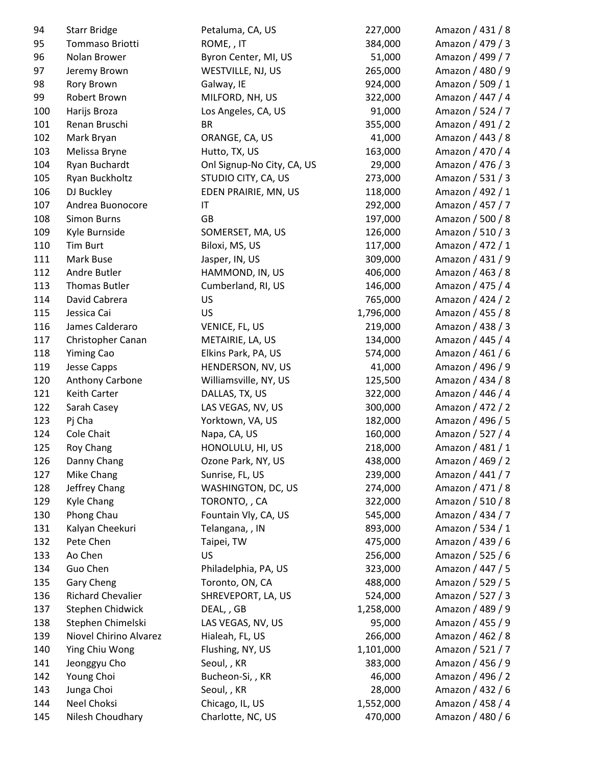| 94         | <b>Starr Bridge</b>      | Petaluma, CA, US           | 227,000   | Amazon / 431 / 8 |
|------------|--------------------------|----------------------------|-----------|------------------|
| 95         | Tommaso Briotti          | ROME,, IT                  | 384,000   | Amazon / 479 / 3 |
| 96         | Nolan Brower             | Byron Center, MI, US       | 51,000    | Amazon / 499 / 7 |
| 97         | Jeremy Brown             | WESTVILLE, NJ, US          | 265,000   | Amazon / 480 / 9 |
| 98         | Rory Brown               | Galway, IE                 | 924,000   | Amazon / 509 / 1 |
| 99         | Robert Brown             | MILFORD, NH, US            | 322,000   | Amazon / 447 / 4 |
| 100        | Harijs Broza             | Los Angeles, CA, US        | 91,000    | Amazon / 524 / 7 |
| 101        | Renan Bruschi            | <b>BR</b>                  | 355,000   | Amazon / 491 / 2 |
| 102        | Mark Bryan               | ORANGE, CA, US             | 41,000    | Amazon / 443 / 8 |
| 103        | Melissa Bryne            | Hutto, TX, US              | 163,000   | Amazon / 470 / 4 |
| 104        | Ryan Buchardt            | Onl Signup-No City, CA, US | 29,000    | Amazon / 476 / 3 |
| 105        | Ryan Buckholtz           | STUDIO CITY, CA, US        | 273,000   | Amazon / 531 / 3 |
| 106        | DJ Buckley               | EDEN PRAIRIE, MN, US       | 118,000   | Amazon / 492 / 1 |
| 107        | Andrea Buonocore         | $\mathsf{I}\mathsf{T}$     | 292,000   | Amazon / 457 / 7 |
| 108        | <b>Simon Burns</b>       | <b>GB</b>                  | 197,000   | Amazon / 500 / 8 |
| 109        | Kyle Burnside            | SOMERSET, MA, US           | 126,000   | Amazon / 510 / 3 |
| 110        | <b>Tim Burt</b>          | Biloxi, MS, US             | 117,000   | Amazon / 472 / 1 |
| 111        | Mark Buse                | Jasper, IN, US             | 309,000   | Amazon / 431 / 9 |
| 112        | Andre Butler             | HAMMOND, IN, US            | 406,000   | Amazon / 463 / 8 |
| 113        | Thomas Butler            | Cumberland, RI, US         | 146,000   | Amazon / 475 / 4 |
| 114        | David Cabrera            | <b>US</b>                  | 765,000   | Amazon / 424 / 2 |
| 115        | Jessica Cai              | <b>US</b>                  | 1,796,000 | Amazon / 455 / 8 |
| 116        | James Calderaro          | VENICE, FL, US             | 219,000   | Amazon / 438 / 3 |
| 117        | Christopher Canan        | METAIRIE, LA, US           | 134,000   | Amazon / 445 / 4 |
| 118        | <b>Yiming Cao</b>        | Elkins Park, PA, US        | 574,000   | Amazon / 461 / 6 |
| 119        | <b>Jesse Capps</b>       | HENDERSON, NV, US          | 41,000    | Amazon / 496 / 9 |
| 120        | Anthony Carbone          | Williamsville, NY, US      | 125,500   | Amazon / 434 / 8 |
| 121        | Keith Carter             | DALLAS, TX, US             | 322,000   | Amazon / 446 / 4 |
| 122        | Sarah Casey              | LAS VEGAS, NV, US          | 300,000   | Amazon / 472 / 2 |
| 123        | Pj Cha                   | Yorktown, VA, US           | 182,000   | Amazon / 496 / 5 |
| 124        | Cole Chait               | Napa, CA, US               | 160,000   | Amazon / 527 / 4 |
| 125        | Roy Chang                | HONOLULU, HI, US           | 218,000   | Amazon / 481 / 1 |
|            | Danny Chang              | Ozone Park, NY, US         | 438,000   | Amazon / 469 / 2 |
| 126<br>127 | Mike Chang               | Sunrise, FL, US            | 239,000   | Amazon / 441 / 7 |
| 128        | Jeffrey Chang            | WASHINGTON, DC, US         | 274,000   | Amazon / 471 / 8 |
| 129        | <b>Kyle Chang</b>        | TORONTO,, CA               | 322,000   | Amazon / 510 / 8 |
| 130        | Phong Chau               | Fountain Vly, CA, US       | 545,000   | Amazon / 434 / 7 |
| 131        | Kalyan Cheekuri          | Telangana, , IN            | 893,000   | Amazon / 534 / 1 |
|            | Pete Chen                |                            | 475,000   | Amazon / 439 / 6 |
| 132        | Ao Chen                  | Taipei, TW<br><b>US</b>    | 256,000   | Amazon / 525 / 6 |
| 133        |                          |                            |           |                  |
| 134        | Guo Chen                 | Philadelphia, PA, US       | 323,000   | Amazon / 447 / 5 |
| 135        | Gary Cheng               | Toronto, ON, CA            | 488,000   | Amazon / 529 / 5 |
| 136        | <b>Richard Chevalier</b> | SHREVEPORT, LA, US         | 524,000   | Amazon / 527 / 3 |
| 137        | Stephen Chidwick         | DEAL, , GB                 | 1,258,000 | Amazon / 489 / 9 |
| 138        | Stephen Chimelski        | LAS VEGAS, NV, US          | 95,000    | Amazon / 455 / 9 |
| 139        | Niovel Chirino Alvarez   | Hialeah, FL, US            | 266,000   | Amazon / 462 / 8 |
| 140        | Ying Chiu Wong           | Flushing, NY, US           | 1,101,000 | Amazon / 521 / 7 |
| 141        | Jeonggyu Cho             | Seoul,, KR                 | 383,000   | Amazon / 456 / 9 |
| 142        | Young Choi               | Bucheon-Si,, KR            | 46,000    | Amazon / 496 / 2 |
| 143        | Junga Choi               | Seoul,, KR                 | 28,000    | Amazon / 432 / 6 |
| 144        | Neel Choksi              | Chicago, IL, US            | 1,552,000 | Amazon / 458 / 4 |
| 145        | Nilesh Choudhary         | Charlotte, NC, US          | 470,000   | Amazon / 480 / 6 |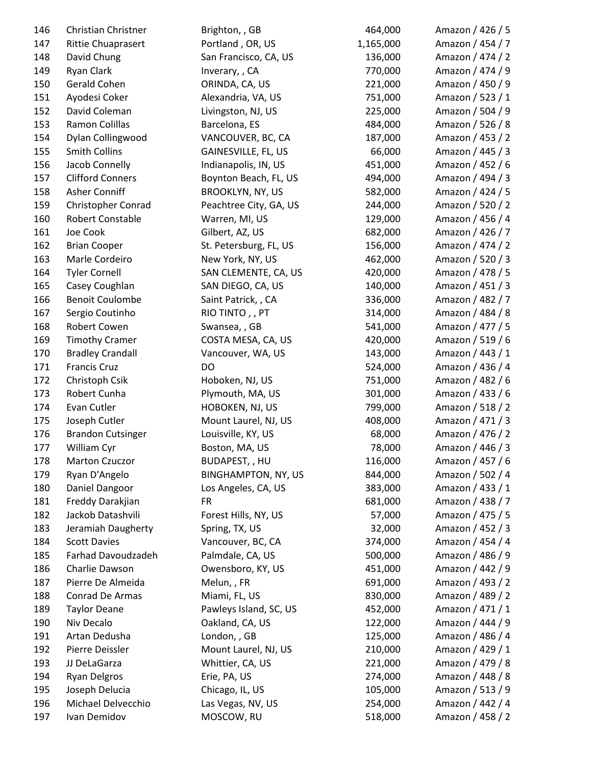| 146 | Christian Christner       | Brighton, , GB             | 464,000   | Amazon / 426 / 5 |
|-----|---------------------------|----------------------------|-----------|------------------|
| 147 | <b>Rittie Chuaprasert</b> | Portland, OR, US           | 1,165,000 | Amazon / 454 / 7 |
| 148 | David Chung               | San Francisco, CA, US      | 136,000   | Amazon / 474 / 2 |
| 149 | Ryan Clark                | Inverary, , CA             | 770,000   | Amazon / 474 / 9 |
| 150 | Gerald Cohen              | ORINDA, CA, US             | 221,000   | Amazon / 450 / 9 |
| 151 | Ayodesi Coker             | Alexandria, VA, US         | 751,000   | Amazon / 523 / 1 |
| 152 | David Coleman             | Livingston, NJ, US         | 225,000   | Amazon / 504 / 9 |
| 153 | Ramon Colillas            | Barcelona, ES              | 484,000   | Amazon / 526 / 8 |
| 154 | Dylan Collingwood         | VANCOUVER, BC, CA          | 187,000   | Amazon / 453 / 2 |
| 155 | <b>Smith Collins</b>      | GAINESVILLE, FL, US        | 66,000    | Amazon / 445 / 3 |
| 156 | Jacob Connelly            | Indianapolis, IN, US       | 451,000   | Amazon / 452 / 6 |
| 157 | <b>Clifford Conners</b>   | Boynton Beach, FL, US      | 494,000   | Amazon / 494 / 3 |
| 158 | Asher Conniff             | <b>BROOKLYN, NY, US</b>    | 582,000   | Amazon / 424 / 5 |
| 159 | Christopher Conrad        | Peachtree City, GA, US     | 244,000   | Amazon / 520 / 2 |
| 160 | Robert Constable          | Warren, MI, US             | 129,000   | Amazon / 456 / 4 |
| 161 | Joe Cook                  | Gilbert, AZ, US            | 682,000   | Amazon / 426 / 7 |
| 162 | <b>Brian Cooper</b>       | St. Petersburg, FL, US     | 156,000   | Amazon / 474 / 2 |
| 163 | Marle Cordeiro            | New York, NY, US           | 462,000   | Amazon / 520 / 3 |
| 164 | <b>Tyler Cornell</b>      | SAN CLEMENTE, CA, US       | 420,000   | Amazon / 478 / 5 |
| 165 | Casey Coughlan            | SAN DIEGO, CA, US          | 140,000   | Amazon / 451 / 3 |
| 166 | <b>Benoit Coulombe</b>    | Saint Patrick, , CA        | 336,000   | Amazon / 482 / 7 |
| 167 | Sergio Coutinho           | RIO TINTO, , PT            | 314,000   | Amazon / 484 / 8 |
| 168 | Robert Cowen              | Swansea, , GB              | 541,000   | Amazon / 477 / 5 |
| 169 | <b>Timothy Cramer</b>     | COSTA MESA, CA, US         | 420,000   | Amazon / 519 / 6 |
| 170 | <b>Bradley Crandall</b>   | Vancouver, WA, US          | 143,000   | Amazon / 443 / 1 |
| 171 | <b>Francis Cruz</b>       | <b>DO</b>                  | 524,000   | Amazon / 436 / 4 |
| 172 | Christoph Csik            | Hoboken, NJ, US            | 751,000   | Amazon / 482 / 6 |
| 173 | Robert Cunha              | Plymouth, MA, US           | 301,000   | Amazon / 433 / 6 |
| 174 | Evan Cutler               | HOBOKEN, NJ, US            | 799,000   | Amazon / 518 / 2 |
| 175 | Joseph Cutler             | Mount Laurel, NJ, US       | 408,000   | Amazon / 471 / 3 |
| 176 | <b>Brandon Cutsinger</b>  | Louisville, KY, US         | 68,000    | Amazon / 476 / 2 |
| 177 | William Cyr               | Boston, MA, US             | 78,000    | Amazon / 446 / 3 |
| 178 | <b>Marton Czuczor</b>     | BUDAPEST, , HU             | 116,000   | Amazon / 457 / 6 |
| 179 | Ryan D'Angelo             | <b>BINGHAMPTON, NY, US</b> | 844,000   | Amazon / 502 / 4 |
| 180 | Daniel Dangoor            | Los Angeles, CA, US        | 383,000   | Amazon / 433 / 1 |
| 181 | Freddy Darakjian          | <b>FR</b>                  | 681,000   | Amazon / 438 / 7 |
| 182 | Jackob Datashvili         | Forest Hills, NY, US       | 57,000    | Amazon / 475 / 5 |
| 183 | Jeramiah Daugherty        | Spring, TX, US             | 32,000    | Amazon / 452 / 3 |
| 184 | <b>Scott Davies</b>       | Vancouver, BC, CA          | 374,000   | Amazon / 454 / 4 |
| 185 | Farhad Davoudzadeh        | Palmdale, CA, US           | 500,000   | Amazon / 486 / 9 |
| 186 | Charlie Dawson            | Owensboro, KY, US          | 451,000   | Amazon / 442 / 9 |
| 187 | Pierre De Almeida         | Melun,, FR                 | 691,000   | Amazon / 493 / 2 |
| 188 | Conrad De Armas           | Miami, FL, US              | 830,000   | Amazon / 489 / 2 |
| 189 | <b>Taylor Deane</b>       | Pawleys Island, SC, US     | 452,000   | Amazon / 471 / 1 |
| 190 | Niv Decalo                | Oakland, CA, US            | 122,000   | Amazon / 444 / 9 |
| 191 | Artan Dedusha             | London, , GB               | 125,000   | Amazon / 486 / 4 |
| 192 | Pierre Deissler           | Mount Laurel, NJ, US       | 210,000   | Amazon / 429 / 1 |
| 193 | JJ DeLaGarza              | Whittier, CA, US           | 221,000   | Amazon / 479 / 8 |
| 194 | <b>Ryan Delgros</b>       | Erie, PA, US               | 274,000   | Amazon / 448 / 8 |
| 195 | Joseph Delucia            | Chicago, IL, US            | 105,000   | Amazon / 513 / 9 |
| 196 | Michael Delvecchio        | Las Vegas, NV, US          | 254,000   | Amazon / 442 / 4 |
| 197 | Ivan Demidov              | MOSCOW, RU                 | 518,000   | Amazon / 458 / 2 |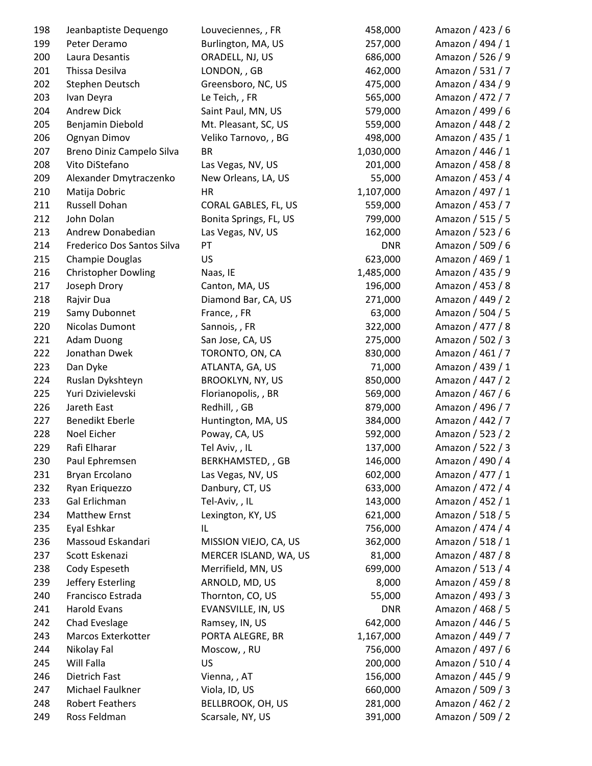| 198 | Jeanbaptiste Dequengo      | Louveciennes, , FR      | 458,000    | Amazon / 423 / 6 |
|-----|----------------------------|-------------------------|------------|------------------|
| 199 | Peter Deramo               | Burlington, MA, US      | 257,000    | Amazon / 494 / 1 |
| 200 | Laura Desantis             | ORADELL, NJ, US         | 686,000    | Amazon / 526 / 9 |
| 201 | Thissa Desilva             | LONDON, , GB            | 462,000    | Amazon / 531 / 7 |
| 202 | Stephen Deutsch            | Greensboro, NC, US      | 475,000    | Amazon / 434 / 9 |
| 203 | Ivan Deyra                 | Le Teich, , FR          | 565,000    | Amazon / 472 / 7 |
| 204 | <b>Andrew Dick</b>         | Saint Paul, MN, US      | 579,000    | Amazon / 499 / 6 |
| 205 | Benjamin Diebold           | Mt. Pleasant, SC, US    | 559,000    | Amazon / 448 / 2 |
| 206 | Ognyan Dimov               | Veliko Tarnovo, , BG    | 498,000    | Amazon / 435 / 1 |
| 207 | Breno Diniz Campelo Silva  | <b>BR</b>               | 1,030,000  | Amazon / 446 / 1 |
| 208 | Vito DiStefano             | Las Vegas, NV, US       | 201,000    | Amazon / 458 / 8 |
| 209 | Alexander Dmytraczenko     | New Orleans, LA, US     | 55,000     | Amazon / 453 / 4 |
| 210 | Matija Dobric              | HR                      | 1,107,000  | Amazon / 497 / 1 |
| 211 | Russell Dohan              | CORAL GABLES, FL, US    | 559,000    | Amazon / 453 / 7 |
| 212 | John Dolan                 | Bonita Springs, FL, US  | 799,000    | Amazon / 515 / 5 |
| 213 | Andrew Donabedian          | Las Vegas, NV, US       | 162,000    | Amazon / 523 / 6 |
| 214 | Frederico Dos Santos Silva | PT                      | <b>DNR</b> | Amazon / 509 / 6 |
| 215 | Champie Douglas            | US.                     | 623,000    | Amazon / 469 / 1 |
| 216 | <b>Christopher Dowling</b> | Naas, IE                | 1,485,000  | Amazon / 435 / 9 |
| 217 | Joseph Drory               | Canton, MA, US          | 196,000    | Amazon / 453 / 8 |
| 218 | Rajvir Dua                 | Diamond Bar, CA, US     | 271,000    | Amazon / 449 / 2 |
| 219 | Samy Dubonnet              | France,, FR             | 63,000     | Amazon / 504 / 5 |
| 220 | Nicolas Dumont             | Sannois, , FR           | 322,000    | Amazon / 477 / 8 |
| 221 | <b>Adam Duong</b>          | San Jose, CA, US        | 275,000    | Amazon / 502 / 3 |
| 222 | Jonathan Dwek              | TORONTO, ON, CA         | 830,000    | Amazon / 461 / 7 |
| 223 | Dan Dyke                   | ATLANTA, GA, US         | 71,000     | Amazon / 439 / 1 |
| 224 | Ruslan Dykshteyn           | <b>BROOKLYN, NY, US</b> | 850,000    | Amazon / 447 / 2 |
| 225 | Yuri Dzivielevski          | Florianopolis, , BR     | 569,000    | Amazon / 467 / 6 |
| 226 | Jareth East                | Redhill, , GB           | 879,000    | Amazon / 496 / 7 |
| 227 | Benedikt Eberle            | Huntington, MA, US      | 384,000    | Amazon / 442 / 7 |
| 228 | Noel Eicher                | Poway, CA, US           | 592,000    | Amazon / 523 / 2 |
| 229 | Rafi Elharar               | Tel Aviv, , IL          | 137,000    | Amazon / 522 / 3 |
| 230 | Paul Ephremsen             | BERKHAMSTED, , GB       | 146,000    | Amazon / 490 / 4 |
| 231 | Bryan Ercolano             | Las Vegas, NV, US       | 602,000    | Amazon / 477 / 1 |
| 232 | Ryan Eriquezzo             | Danbury, CT, US         | 633,000    | Amazon / 472 / 4 |
| 233 | Gal Erlichman              | Tel-Aviv,, IL           | 143,000    | Amazon / 452 / 1 |
| 234 | <b>Matthew Ernst</b>       | Lexington, KY, US       | 621,000    | Amazon / 518 / 5 |
| 235 | Eyal Eshkar                | IL                      | 756,000    | Amazon / 474 / 4 |
| 236 | Massoud Eskandari          | MISSION VIEJO, CA, US   | 362,000    | Amazon / 518 / 1 |
| 237 | Scott Eskenazi             | MERCER ISLAND, WA, US   | 81,000     | Amazon / 487 / 8 |
| 238 | Cody Espeseth              | Merrifield, MN, US      | 699,000    | Amazon / 513 / 4 |
| 239 | Jeffery Esterling          | ARNOLD, MD, US          | 8,000      | Amazon / 459 / 8 |
| 240 | Francisco Estrada          | Thornton, CO, US        | 55,000     | Amazon / 493 / 3 |
| 241 | <b>Harold Evans</b>        | EVANSVILLE, IN, US      | <b>DNR</b> | Amazon / 468 / 5 |
| 242 | Chad Eveslage              | Ramsey, IN, US          | 642,000    | Amazon / 446 / 5 |
| 243 | Marcos Exterkotter         | PORTA ALEGRE, BR        | 1,167,000  | Amazon / 449 / 7 |
| 244 | Nikolay Fal                | Moscow, , RU            | 756,000    | Amazon / 497 / 6 |
| 245 | Will Falla                 | <b>US</b>               | 200,000    | Amazon / 510 / 4 |
| 246 | Dietrich Fast              | Vienna, , AT            | 156,000    | Amazon / 445 / 9 |
| 247 | Michael Faulkner           | Viola, ID, US           | 660,000    | Amazon / 509 / 3 |
| 248 | <b>Robert Feathers</b>     | BELLBROOK, OH, US       | 281,000    | Amazon / 462 / 2 |
| 249 | Ross Feldman               | Scarsale, NY, US        | 391,000    | Amazon / 509 / 2 |
|     |                            |                         |            |                  |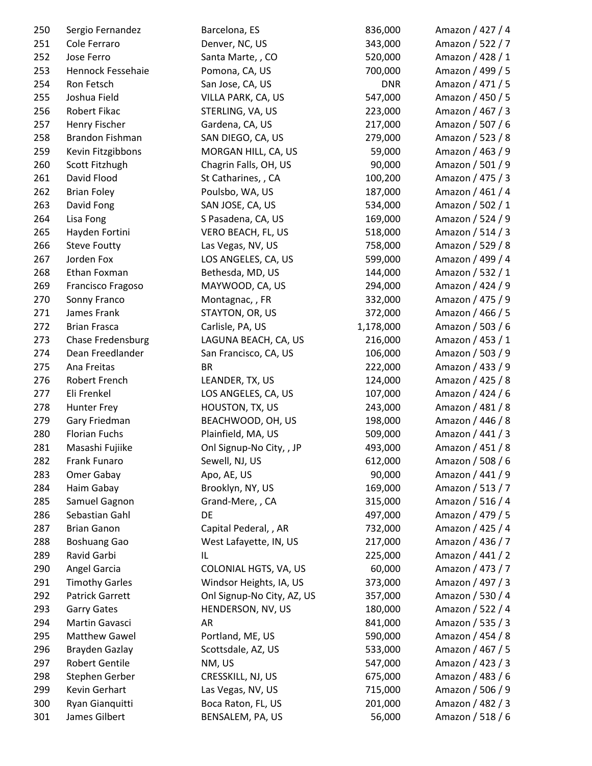| 250 | Sergio Fernandez       | Barcelona, ES              | 836,000    | Amazon / 427 / 4 |
|-----|------------------------|----------------------------|------------|------------------|
| 251 | Cole Ferraro           | Denver, NC, US             | 343,000    | Amazon / 522 / 7 |
| 252 | Jose Ferro             | Santa Marte, , CO          | 520,000    | Amazon / 428 / 1 |
| 253 | Hennock Fessehaie      | Pomona, CA, US             | 700,000    | Amazon / 499 / 5 |
| 254 | Ron Fetsch             | San Jose, CA, US           | <b>DNR</b> | Amazon / 471 / 5 |
| 255 | Joshua Field           | VILLA PARK, CA, US         | 547,000    | Amazon / 450 / 5 |
| 256 | Robert Fikac           | STERLING, VA, US           | 223,000    | Amazon / 467 / 3 |
| 257 | Henry Fischer          | Gardena, CA, US            | 217,000    | Amazon / 507 / 6 |
| 258 | <b>Brandon Fishman</b> | SAN DIEGO, CA, US          | 279,000    | Amazon / 523 / 8 |
| 259 | Kevin Fitzgibbons      | MORGAN HILL, CA, US        | 59,000     | Amazon / 463 / 9 |
| 260 | Scott Fitzhugh         | Chagrin Falls, OH, US      | 90,000     | Amazon / 501 / 9 |
| 261 | David Flood            | St Catharines, , CA        | 100,200    | Amazon / 475 / 3 |
| 262 | <b>Brian Foley</b>     | Poulsbo, WA, US            | 187,000    | Amazon / 461 / 4 |
| 263 | David Fong             | SAN JOSE, CA, US           | 534,000    | Amazon / 502 / 1 |
| 264 | Lisa Fong              | S Pasadena, CA, US         | 169,000    | Amazon / 524 / 9 |
| 265 | Hayden Fortini         | VERO BEACH, FL, US         | 518,000    | Amazon / 514 / 3 |
| 266 | <b>Steve Foutty</b>    | Las Vegas, NV, US          | 758,000    | Amazon / 529 / 8 |
| 267 | Jorden Fox             | LOS ANGELES, CA, US        | 599,000    | Amazon / 499 / 4 |
| 268 | Ethan Foxman           | Bethesda, MD, US           | 144,000    | Amazon / 532 / 1 |
| 269 | Francisco Fragoso      | MAYWOOD, CA, US            | 294,000    | Amazon / 424 / 9 |
| 270 | Sonny Franco           | Montagnac, , FR            | 332,000    | Amazon / 475 / 9 |
| 271 | James Frank            | STAYTON, OR, US            | 372,000    | Amazon / 466 / 5 |
| 272 | <b>Brian Frasca</b>    | Carlisle, PA, US           | 1,178,000  | Amazon / 503 / 6 |
| 273 | Chase Fredensburg      | LAGUNA BEACH, CA, US       | 216,000    | Amazon / 453 / 1 |
| 274 | Dean Freedlander       | San Francisco, CA, US      | 106,000    | Amazon / 503 / 9 |
| 275 | Ana Freitas            | <b>BR</b>                  | 222,000    | Amazon / 433 / 9 |
| 276 | Robert French          | LEANDER, TX, US            | 124,000    | Amazon / 425 / 8 |
| 277 | Eli Frenkel            | LOS ANGELES, CA, US        | 107,000    | Amazon / 424 / 6 |
| 278 | Hunter Frey            | HOUSTON, TX, US            | 243,000    | Amazon / 481 / 8 |
| 279 | Gary Friedman          | BEACHWOOD, OH, US          | 198,000    | Amazon / 446 / 8 |
| 280 | <b>Florian Fuchs</b>   | Plainfield, MA, US         | 509,000    | Amazon / 441 / 3 |
| 281 | Masashi Fujiike        | Onl Signup-No City, , JP   | 493,000    | Amazon / 451 / 8 |
| 282 | Frank Funaro           | Sewell, NJ, US             | 612,000    | Amazon / 508 / 6 |
| 283 | Omer Gabay             | Apo, AE, US                | 90,000     | Amazon / 441 / 9 |
| 284 | Haim Gabay             | Brooklyn, NY, US           | 169,000    | Amazon / 513 / 7 |
| 285 | Samuel Gagnon          | Grand-Mere, , CA           | 315,000    | Amazon / 516 / 4 |
| 286 | Sebastian Gahl         | DE                         | 497,000    | Amazon / 479 / 5 |
| 287 | <b>Brian Ganon</b>     | Capital Pederal, , AR      | 732,000    | Amazon / 425 / 4 |
| 288 | <b>Boshuang Gao</b>    | West Lafayette, IN, US     | 217,000    | Amazon / 436 / 7 |
| 289 | Ravid Garbi            | IL                         | 225,000    | Amazon / 441 / 2 |
| 290 | Angel Garcia           | COLONIAL HGTS, VA, US      | 60,000     | Amazon / 473 / 7 |
| 291 | <b>Timothy Garles</b>  | Windsor Heights, IA, US    | 373,000    | Amazon / 497 / 3 |
| 292 | Patrick Garrett        | Onl Signup-No City, AZ, US | 357,000    | Amazon / 530 / 4 |
| 293 | <b>Garry Gates</b>     | HENDERSON, NV, US          | 180,000    | Amazon / 522 / 4 |
| 294 | Martin Gavasci         | AR                         | 841,000    | Amazon / 535 / 3 |
| 295 | <b>Matthew Gawel</b>   | Portland, ME, US           | 590,000    | Amazon / 454 / 8 |
| 296 | Brayden Gazlay         | Scottsdale, AZ, US         | 533,000    | Amazon / 467 / 5 |
| 297 | <b>Robert Gentile</b>  | NM, US                     | 547,000    | Amazon / 423 / 3 |
| 298 | Stephen Gerber         | CRESSKILL, NJ, US          | 675,000    | Amazon / 483 / 6 |
| 299 | Kevin Gerhart          | Las Vegas, NV, US          | 715,000    | Amazon / 506 / 9 |
| 300 | Ryan Gianquitti        | Boca Raton, FL, US         | 201,000    | Amazon / 482 / 3 |
| 301 | James Gilbert          | BENSALEM, PA, US           | 56,000     | Amazon / 518 / 6 |
|     |                        |                            |            |                  |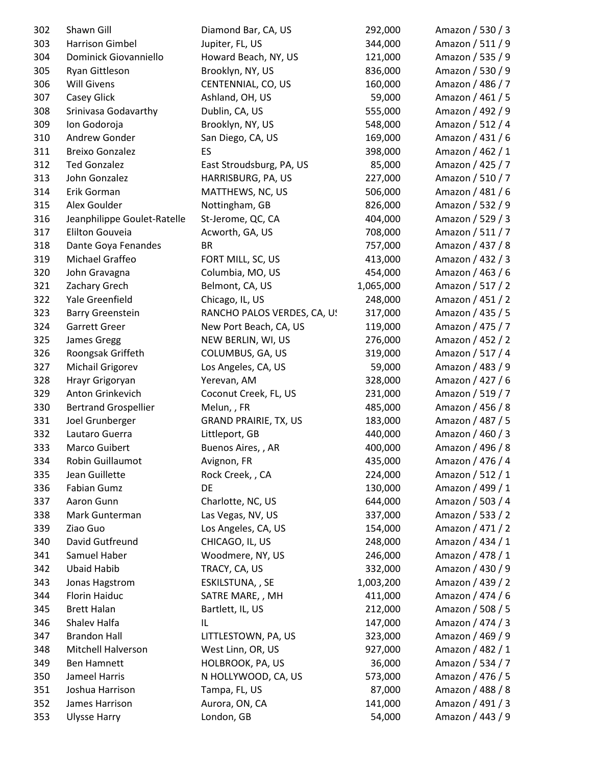| 302        | Shawn Gill                               | Diamond Bar, CA, US                   | 292,000           | Amazon / 530 / 3                     |
|------------|------------------------------------------|---------------------------------------|-------------------|--------------------------------------|
| 303        | Harrison Gimbel                          | Jupiter, FL, US                       | 344,000           | Amazon / 511 / 9                     |
| 304        | Dominick Giovanniello                    | Howard Beach, NY, US                  | 121,000           | Amazon / 535 / 9                     |
| 305        | Ryan Gittleson                           | Brooklyn, NY, US                      | 836,000           | Amazon / 530 / 9                     |
| 306        | <b>Will Givens</b>                       | CENTENNIAL, CO, US                    | 160,000           | Amazon / 486 / 7                     |
| 307        | Casey Glick                              | Ashland, OH, US                       | 59,000            | Amazon / 461 / 5                     |
| 308        | Srinivasa Godavarthy                     | Dublin, CA, US                        | 555,000           | Amazon / 492 / 9                     |
| 309        | Ion Godoroja                             | Brooklyn, NY, US                      | 548,000           | Amazon / 512 / 4                     |
| 310        | Andrew Gonder                            | San Diego, CA, US                     | 169,000           | Amazon / 431 / 6                     |
| 311        | <b>Breixo Gonzalez</b>                   | ES                                    | 398,000           | Amazon / 462 / 1                     |
| 312        | <b>Ted Gonzalez</b>                      | East Stroudsburg, PA, US              | 85,000            | Amazon / 425 / 7                     |
| 313        | John Gonzalez                            | HARRISBURG, PA, US                    | 227,000           | Amazon / 510 / 7                     |
| 314        | Erik Gorman                              | MATTHEWS, NC, US                      | 506,000           | Amazon / 481 / 6                     |
| 315        | Alex Goulder                             | Nottingham, GB                        | 826,000           | Amazon / 532 / 9                     |
| 316        | Jeanphilippe Goulet-Ratelle              | St-Jerome, QC, CA                     | 404,000           | Amazon / 529 / 3                     |
| 317        | <b>Elilton Gouveia</b>                   | Acworth, GA, US                       | 708,000           | Amazon / 511 / 7                     |
| 318        | Dante Goya Fenandes                      | <b>BR</b>                             | 757,000           | Amazon / 437 / 8                     |
| 319        | Michael Graffeo                          | FORT MILL, SC, US                     | 413,000           | Amazon / 432 / 3                     |
| 320        | John Gravagna                            | Columbia, MO, US                      | 454,000           | Amazon / 463 / 6                     |
| 321        | Zachary Grech                            | Belmont, CA, US                       | 1,065,000         | Amazon / 517 / 2                     |
| 322        | Yale Greenfield                          | Chicago, IL, US                       | 248,000           | Amazon / 451 / 2                     |
| 323        | <b>Barry Greenstein</b>                  | RANCHO PALOS VERDES, CA, US           | 317,000           | Amazon / 435 / 5                     |
| 324        | <b>Garrett Greer</b>                     | New Port Beach, CA, US                | 119,000           | Amazon / 475 / 7                     |
| 325        | James Gregg                              | NEW BERLIN, WI, US                    | 276,000           | Amazon / 452 / 2                     |
| 326        | Roongsak Griffeth                        | COLUMBUS, GA, US                      | 319,000           | Amazon / 517 / 4                     |
| 327        | Michail Grigorev                         | Los Angeles, CA, US                   | 59,000            | Amazon / 483 / 9                     |
| 328        | Hrayr Grigoryan                          | Yerevan, AM                           | 328,000           | Amazon / 427 / 6                     |
| 329        | Anton Grinkevich                         | Coconut Creek, FL, US                 | 231,000           | Amazon / 519 / 7                     |
| 330        | <b>Bertrand Grospellier</b>              | Melun,, FR                            | 485,000           | Amazon / 456 / 8                     |
| 331        | Joel Grunberger                          | <b>GRAND PRAIRIE, TX, US</b>          | 183,000           | Amazon / 487 / 5                     |
| 332        | Lautaro Guerra                           | Littleport, GB                        | 440,000           | Amazon / 460 / 3                     |
| 333        | Marco Guibert                            | Buenos Aires,, AR                     | 400,000           | Amazon / 496 / 8                     |
| 334        | Robin Guillaumot                         | Avignon, FR                           | 435,000           | Amazon / 476 / 4                     |
| 335        | Jean Guillette                           | Rock Creek, , CA                      | 224,000           | Amazon / 512 / 1                     |
| 336        | Fabian Gumz                              | DE                                    | 130,000           | Amazon / 499 / 1                     |
| 337        | Aaron Gunn                               | Charlotte, NC, US                     | 644,000           | Amazon / 503 / 4                     |
| 338        | Mark Gunterman                           | Las Vegas, NV, US                     | 337,000           | Amazon / 533 / 2                     |
| 339        | Ziao Guo                                 | Los Angeles, CA, US                   | 154,000           | Amazon / 471 / 2                     |
| 340        | David Gutfreund                          | CHICAGO, IL, US                       | 248,000           | Amazon / 434 / 1                     |
| 341        | Samuel Haber                             | Woodmere, NY, US                      | 246,000           | Amazon / 478 / 1                     |
| 342        | <b>Ubaid Habib</b>                       | TRACY, CA, US                         | 332,000           | Amazon / 430 / 9                     |
| 343        | Jonas Hagstrom                           | ESKILSTUNA, , SE                      | 1,003,200         | Amazon / 439 / 2                     |
| 344        | <b>Florin Haiduc</b>                     | SATRE MARE, , MH                      | 411,000           | Amazon / 474 / 6                     |
| 345        | <b>Brett Halan</b>                       | Bartlett, IL, US                      | 212,000           | Amazon / 508 / 5                     |
| 346        | Shalev Halfa                             | IL                                    | 147,000           | Amazon / 474 / 3                     |
| 347        | <b>Brandon Hall</b>                      |                                       |                   | Amazon / 469 / 9                     |
|            |                                          | LITTLESTOWN, PA, US                   | 323,000           |                                      |
| 348        | Mitchell Halverson<br><b>Ben Hamnett</b> | West Linn, OR, US<br>HOLBROOK, PA, US | 927,000<br>36,000 | Amazon / 482 / 1                     |
| 349        |                                          |                                       |                   | Amazon / 534 / 7                     |
| 350        | Jameel Harris                            | N HOLLYWOOD, CA, US                   | 573,000           | Amazon / 476 / 5                     |
| 351<br>352 | Joshua Harrison<br>James Harrison        | Tampa, FL, US                         | 87,000<br>141,000 | Amazon / 488 / 8<br>Amazon / 491 / 3 |
|            |                                          | Aurora, ON, CA                        |                   |                                      |
| 353        | <b>Ulysse Harry</b>                      | London, GB                            | 54,000            | Amazon / 443 / 9                     |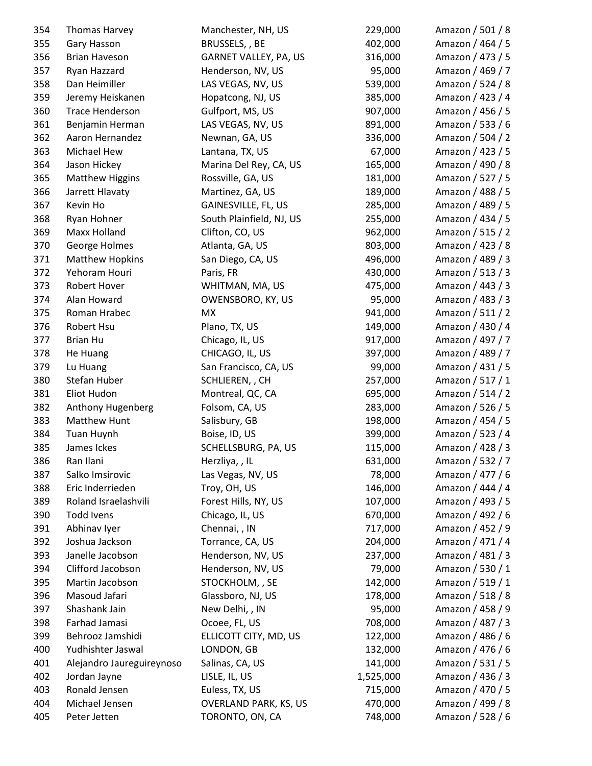| 354 | Thomas Harvey             | Manchester, NH, US           | 229,000   | Amazon / 501 / 8 |
|-----|---------------------------|------------------------------|-----------|------------------|
| 355 | Gary Hasson               | BRUSSELS, , BE               | 402,000   | Amazon / 464 / 5 |
| 356 | <b>Brian Haveson</b>      | GARNET VALLEY, PA, US        | 316,000   | Amazon / 473 / 5 |
| 357 | Ryan Hazzard              | Henderson, NV, US            | 95,000    | Amazon / 469 / 7 |
| 358 | Dan Heimiller             | LAS VEGAS, NV, US            | 539,000   | Amazon / 524 / 8 |
| 359 | Jeremy Heiskanen          | Hopatcong, NJ, US            | 385,000   | Amazon / 423 / 4 |
| 360 | <b>Trace Henderson</b>    | Gulfport, MS, US             | 907,000   | Amazon / 456 / 5 |
| 361 | Benjamin Herman           | LAS VEGAS, NV, US            | 891,000   | Amazon / 533 / 6 |
| 362 | Aaron Hernandez           | Newnan, GA, US               | 336,000   | Amazon / 504 / 2 |
| 363 | <b>Michael Hew</b>        | Lantana, TX, US              | 67,000    | Amazon / 423 / 5 |
| 364 | Jason Hickey              | Marina Del Rey, CA, US       | 165,000   | Amazon / 490 / 8 |
| 365 | <b>Matthew Higgins</b>    | Rossville, GA, US            | 181,000   | Amazon / 527 / 5 |
| 366 | Jarrett Hlavaty           | Martinez, GA, US             | 189,000   | Amazon / 488 / 5 |
| 367 | Kevin Ho                  | GAINESVILLE, FL, US          | 285,000   | Amazon / 489 / 5 |
| 368 | Ryan Hohner               | South Plainfield, NJ, US     | 255,000   | Amazon / 434 / 5 |
| 369 | Maxx Holland              | Clifton, CO, US              | 962,000   | Amazon / 515 / 2 |
| 370 | George Holmes             | Atlanta, GA, US              | 803,000   | Amazon / 423 / 8 |
| 371 | <b>Matthew Hopkins</b>    | San Diego, CA, US            | 496,000   | Amazon / 489 / 3 |
| 372 | Yehoram Houri             | Paris, FR                    | 430,000   | Amazon / 513 / 3 |
| 373 | Robert Hover              | WHITMAN, MA, US              | 475,000   | Amazon / 443 / 3 |
| 374 | Alan Howard               | OWENSBORO, KY, US            | 95,000    | Amazon / 483 / 3 |
| 375 | Roman Hrabec              | MX                           | 941,000   | Amazon / 511 / 2 |
| 376 | Robert Hsu                | Plano, TX, US                | 149,000   | Amazon / 430 / 4 |
| 377 | <b>Brian Hu</b>           | Chicago, IL, US              | 917,000   | Amazon / 497 / 7 |
| 378 | He Huang                  | CHICAGO, IL, US              | 397,000   | Amazon / 489 / 7 |
| 379 | Lu Huang                  | San Francisco, CA, US        | 99,000    | Amazon / 431 / 5 |
| 380 | Stefan Huber              | SCHLIEREN, , CH              | 257,000   | Amazon / 517 / 1 |
| 381 | Eliot Hudon               | Montreal, QC, CA             | 695,000   | Amazon / 514 / 2 |
| 382 | Anthony Hugenberg         | Folsom, CA, US               | 283,000   | Amazon / 526 / 5 |
| 383 | Matthew Hunt              | Salisbury, GB                | 198,000   | Amazon / 454 / 5 |
| 384 | Tuan Huynh                | Boise, ID, US                | 399,000   | Amazon / 523 / 4 |
| 385 | James Ickes               | SCHELLSBURG, PA, US          | 115,000   | Amazon / 428 / 3 |
| 386 | Ran Ilani                 | Herzliya, , IL               | 631,000   | Amazon / 532 / 7 |
| 387 | Salko Imsirovic           | Las Vegas, NV, US            | 78,000    | Amazon / 477 / 6 |
| 388 | Eric Inderrieden          | Troy, OH, US                 | 146,000   | Amazon / 444 / 4 |
| 389 | Roland Israelashvili      | Forest Hills, NY, US         | 107,000   | Amazon / 493 / 5 |
| 390 | <b>Todd Ivens</b>         | Chicago, IL, US              | 670,000   | Amazon / 492 / 6 |
| 391 | Abhinav Iyer              | Chennai, , IN                | 717,000   | Amazon / 452 / 9 |
| 392 | Joshua Jackson            | Torrance, CA, US             | 204,000   | Amazon / 471 / 4 |
| 393 | Janelle Jacobson          | Henderson, NV, US            | 237,000   | Amazon / 481 / 3 |
| 394 | Clifford Jacobson         | Henderson, NV, US            | 79,000    | Amazon / 530 / 1 |
| 395 | Martin Jacobson           | STOCKHOLM, , SE              | 142,000   | Amazon / 519 / 1 |
| 396 | Masoud Jafari             | Glassboro, NJ, US            | 178,000   | Amazon / 518 / 8 |
| 397 | Shashank Jain             | New Delhi, , IN              | 95,000    | Amazon / 458 / 9 |
| 398 | Farhad Jamasi             | Ocoee, FL, US                | 708,000   | Amazon / 487 / 3 |
| 399 | Behrooz Jamshidi          | ELLICOTT CITY, MD, US        | 122,000   | Amazon / 486 / 6 |
| 400 | Yudhishter Jaswal         | LONDON, GB                   | 132,000   | Amazon / 476 / 6 |
| 401 | Alejandro Jaureguireynoso | Salinas, CA, US              | 141,000   | Amazon / 531 / 5 |
| 402 | Jordan Jayne              | LISLE, IL, US                | 1,525,000 | Amazon / 436 / 3 |
| 403 | Ronald Jensen             | Euless, TX, US               | 715,000   | Amazon / 470 / 5 |
| 404 | Michael Jensen            | <b>OVERLAND PARK, KS, US</b> | 470,000   | Amazon / 499 / 8 |
| 405 | Peter Jetten              | TORONTO, ON, CA              | 748,000   | Amazon / 528 / 6 |
|     |                           |                              |           |                  |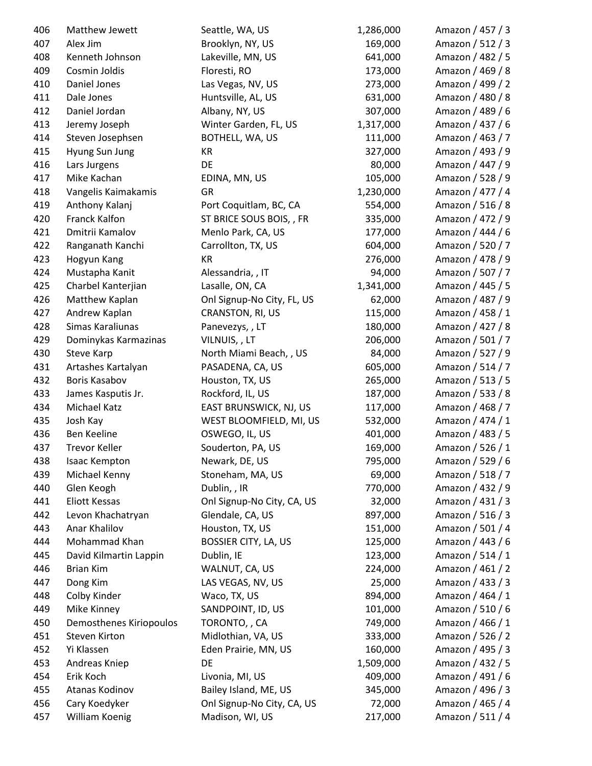| 406 | Matthew Jewett          | Seattle, WA, US             | 1,286,000 | Amazon / 457 / 3 |
|-----|-------------------------|-----------------------------|-----------|------------------|
| 407 | Alex Jim                | Brooklyn, NY, US            | 169,000   | Amazon / 512 / 3 |
| 408 | Kenneth Johnson         | Lakeville, MN, US           | 641,000   | Amazon / 482 / 5 |
| 409 | Cosmin Joldis           | Floresti, RO                | 173,000   | Amazon / 469 / 8 |
| 410 | Daniel Jones            | Las Vegas, NV, US           | 273,000   | Amazon / 499 / 2 |
| 411 | Dale Jones              | Huntsville, AL, US          | 631,000   | Amazon / 480 / 8 |
| 412 | Daniel Jordan           | Albany, NY, US              | 307,000   | Amazon / 489 / 6 |
| 413 | Jeremy Joseph           | Winter Garden, FL, US       | 1,317,000 | Amazon / 437 / 6 |
| 414 | Steven Josephsen        | BOTHELL, WA, US             | 111,000   | Amazon / 463 / 7 |
| 415 | Hyung Sun Jung          | <b>KR</b>                   | 327,000   | Amazon / 493 / 9 |
| 416 | Lars Jurgens            | DE                          | 80,000    | Amazon / 447 / 9 |
| 417 | Mike Kachan             | EDINA, MN, US               | 105,000   | Amazon / 528 / 9 |
| 418 | Vangelis Kaimakamis     | GR                          | 1,230,000 | Amazon / 477 / 4 |
| 419 | Anthony Kalanj          | Port Coquitlam, BC, CA      | 554,000   | Amazon / 516 / 8 |
| 420 | <b>Franck Kalfon</b>    | ST BRICE SOUS BOIS, , FR    | 335,000   | Amazon / 472 / 9 |
| 421 | Dmitrii Kamalov         | Menlo Park, CA, US          | 177,000   | Amazon / 444 / 6 |
| 422 | Ranganath Kanchi        | Carrollton, TX, US          | 604,000   | Amazon / 520 / 7 |
| 423 | Hogyun Kang             | KR                          | 276,000   | Amazon / 478 / 9 |
| 424 | Mustapha Kanit          | Alessandria, , IT           | 94,000    | Amazon / 507 / 7 |
| 425 | Charbel Kanterjian      | Lasalle, ON, CA             | 1,341,000 | Amazon / 445 / 5 |
| 426 | Matthew Kaplan          | Onl Signup-No City, FL, US  | 62,000    | Amazon / 487 / 9 |
| 427 | Andrew Kaplan           | CRANSTON, RI, US            | 115,000   | Amazon / 458 / 1 |
| 428 | Simas Karaliunas        | Panevezys,, LT              | 180,000   | Amazon / 427 / 8 |
| 429 | Dominykas Karmazinas    | VILNUIS,, LT                | 206,000   | Amazon / 501 / 7 |
| 430 | <b>Steve Karp</b>       | North Miami Beach, , US     | 84,000    | Amazon / 527 / 9 |
| 431 | Artashes Kartalyan      | PASADENA, CA, US            | 605,000   | Amazon / 514 / 7 |
| 432 | Boris Kasabov           | Houston, TX, US             | 265,000   | Amazon / 513 / 5 |
| 433 | James Kasputis Jr.      | Rockford, IL, US            | 187,000   | Amazon / 533 / 8 |
| 434 | Michael Katz            | EAST BRUNSWICK, NJ, US      | 117,000   | Amazon / 468 / 7 |
| 435 | Josh Kay                | WEST BLOOMFIELD, MI, US     | 532,000   | Amazon / 474 / 1 |
| 436 | Ben Keeline             | OSWEGO, IL, US              | 401,000   | Amazon / 483 / 5 |
| 437 | <b>Trevor Keller</b>    | Souderton, PA, US           | 169,000   | Amazon / 526 / 1 |
| 438 | Isaac Kempton           | Newark, DE, US              | 795,000   | Amazon / 529 / 6 |
| 439 | Michael Kenny           | Stoneham, MA, US            | 69,000    | Amazon / 518 / 7 |
| 440 | Glen Keogh              | Dublin, , IR                | 770,000   | Amazon / 432 / 9 |
| 441 | Eliott Kessas           | Onl Signup-No City, CA, US  | 32,000    | Amazon / 431 / 3 |
| 442 | Levon Khachatryan       | Glendale, CA, US            | 897,000   | Amazon / 516 / 3 |
| 443 | Anar Khalilov           | Houston, TX, US             | 151,000   | Amazon / 501 / 4 |
| 444 | Mohammad Khan           | <b>BOSSIER CITY, LA, US</b> | 125,000   | Amazon / 443 / 6 |
| 445 | David Kilmartin Lappin  | Dublin, IE                  | 123,000   | Amazon / 514 / 1 |
| 446 | <b>Brian Kim</b>        | WALNUT, CA, US              | 224,000   | Amazon / 461 / 2 |
| 447 | Dong Kim                | LAS VEGAS, NV, US           | 25,000    | Amazon / 433 / 3 |
| 448 | Colby Kinder            | Waco, TX, US                | 894,000   | Amazon / 464 / 1 |
| 449 | Mike Kinney             | SANDPOINT, ID, US           | 101,000   | Amazon / 510 / 6 |
| 450 | Demosthenes Kiriopoulos | TORONTO, , CA               | 749,000   | Amazon / 466 / 1 |
| 451 | Steven Kirton           | Midlothian, VA, US          | 333,000   | Amazon / 526 / 2 |
| 452 | Yi Klassen              | Eden Prairie, MN, US        | 160,000   | Amazon / 495 / 3 |
| 453 | Andreas Kniep           | DE                          | 1,509,000 | Amazon / 432 / 5 |
| 454 | Erik Koch               | Livonia, MI, US             | 409,000   | Amazon / 491 / 6 |
| 455 | Atanas Kodinov          | Bailey Island, ME, US       | 345,000   | Amazon / 496 / 3 |
| 456 | Cary Koedyker           | Onl Signup-No City, CA, US  | 72,000    | Amazon / 465 / 4 |
| 457 | William Koenig          | Madison, WI, US             | 217,000   | Amazon / 511 / 4 |
|     |                         |                             |           |                  |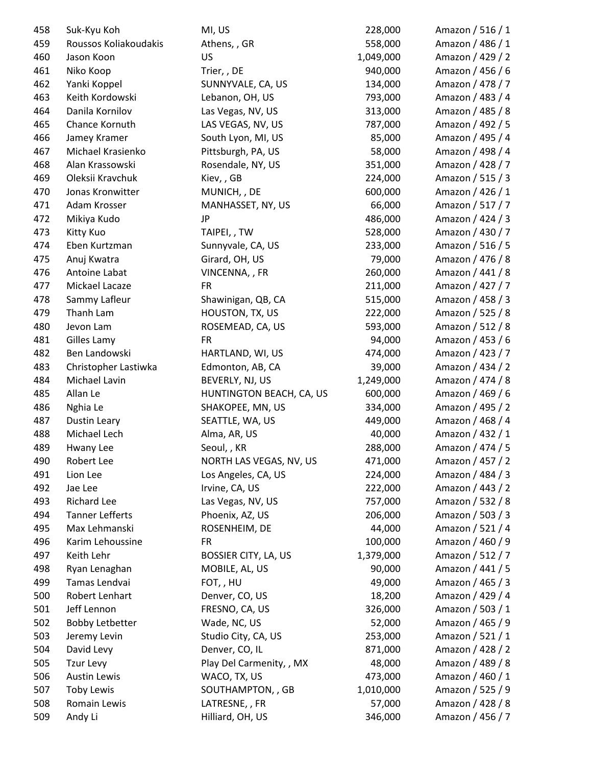| 458 | Suk-Kyu Koh                            | MI, US                      | 228,000   | Amazon / 516 / 1 |
|-----|----------------------------------------|-----------------------------|-----------|------------------|
| 459 | Roussos Koliakoudakis                  | Athens, , GR                | 558,000   | Amazon / 486 / 1 |
| 460 | Jason Koon                             | <b>US</b>                   | 1,049,000 | Amazon / 429 / 2 |
| 461 | Niko Koop                              | Trier, , DE                 | 940,000   | Amazon / 456 / 6 |
| 462 | Yanki Koppel                           | SUNNYVALE, CA, US           | 134,000   | Amazon / 478 / 7 |
| 463 | Keith Kordowski                        | Lebanon, OH, US             | 793,000   | Amazon / 483 / 4 |
| 464 | Danila Kornilov                        | Las Vegas, NV, US           | 313,000   | Amazon / 485 / 8 |
| 465 | Chance Kornuth                         | LAS VEGAS, NV, US           | 787,000   | Amazon / 492 / 5 |
| 466 | Jamey Kramer                           | South Lyon, MI, US          | 85,000    | Amazon / 495 / 4 |
| 467 | Michael Krasienko                      | Pittsburgh, PA, US          | 58,000    | Amazon / 498 / 4 |
| 468 | Alan Krassowski                        | Rosendale, NY, US           | 351,000   | Amazon / 428 / 7 |
| 469 | Oleksii Kravchuk                       | Kiev,, GB                   | 224,000   | Amazon / 515 / 3 |
| 470 | Jonas Kronwitter                       | MUNICH, , DE                | 600,000   | Amazon / 426 / 1 |
| 471 | Adam Krosser                           | MANHASSET, NY, US           | 66,000    | Amazon / 517 / 7 |
| 472 | Mikiya Kudo                            | <b>JP</b>                   | 486,000   | Amazon / 424 / 3 |
| 473 | Kitty Kuo                              | TAIPEI,, TW                 | 528,000   | Amazon / 430 / 7 |
| 474 | Eben Kurtzman                          | Sunnyvale, CA, US           | 233,000   | Amazon / 516 / 5 |
| 475 | Anuj Kwatra                            | Girard, OH, US              | 79,000    | Amazon / 476 / 8 |
| 476 | Antoine Labat                          | VINCENNA, , FR              | 260,000   | Amazon / 441 / 8 |
| 477 | Mickael Lacaze                         | <b>FR</b>                   | 211,000   | Amazon / 427 / 7 |
| 478 | Sammy Lafleur                          | Shawinigan, QB, CA          | 515,000   | Amazon / 458 / 3 |
| 479 | Thanh Lam                              | HOUSTON, TX, US             | 222,000   | Amazon / 525 / 8 |
| 480 | Jevon Lam                              | ROSEMEAD, CA, US            | 593,000   | Amazon / 512 / 8 |
| 481 | Gilles Lamy                            | <b>FR</b>                   | 94,000    | Amazon / 453 / 6 |
| 482 | Ben Landowski                          | HARTLAND, WI, US            | 474,000   | Amazon / 423 / 7 |
| 483 | Christopher Lastiwka                   | Edmonton, AB, CA            | 39,000    | Amazon / 434 / 2 |
| 484 | Michael Lavin                          | BEVERLY, NJ, US             | 1,249,000 | Amazon / 474 / 8 |
| 485 | Allan Le                               | HUNTINGTON BEACH, CA, US    | 600,000   | Amazon / 469 / 6 |
| 486 | Nghia Le                               | SHAKOPEE, MN, US            | 334,000   | Amazon / 495 / 2 |
| 487 | Dustin Leary                           | SEATTLE, WA, US             | 449,000   | Amazon / 468 / 4 |
| 488 | Michael Lech                           | Alma, AR, US                | 40,000    | Amazon / 432 / 1 |
| 489 | Hwany Lee                              | Seoul, , KR                 | 288,000   | Amazon / 474 / 5 |
| 490 | Robert Lee                             | NORTH LAS VEGAS, NV, US     | 471,000   | Amazon / 457 / 2 |
| 491 | Lion Lee                               | Los Angeles, CA, US         | 224,000   | Amazon / 484 / 3 |
| 492 | Jae Lee                                | Irvine, CA, US              | 222,000   | Amazon / 443 / 2 |
| 493 | <b>Richard Lee</b>                     | Las Vegas, NV, US           | 757,000   | Amazon / 532 / 8 |
| 494 | <b>Tanner Lefferts</b>                 | Phoenix, AZ, US             | 206,000   | Amazon / 503 / 3 |
| 495 | Max Lehmanski                          | ROSENHEIM, DE               | 44,000    | Amazon / 521 / 4 |
| 496 | Karim Lehoussine                       | <b>FR</b>                   | 100,000   | Amazon / 460 / 9 |
| 497 | Keith Lehr                             | <b>BOSSIER CITY, LA, US</b> | 1,379,000 | Amazon / 512 / 7 |
| 498 | Ryan Lenaghan                          | MOBILE, AL, US              | 90,000    | Amazon / 441 / 5 |
| 499 | Tamas Lendvai                          | FOT,, HU                    | 49,000    | Amazon / 465 / 3 |
| 500 | Robert Lenhart                         | Denver, CO, US              | 18,200    | Amazon / 429 / 4 |
| 501 | Jeff Lennon                            | FRESNO, CA, US              | 326,000   | Amazon / 503 / 1 |
| 502 |                                        | Wade, NC, US                | 52,000    | Amazon / 465 / 9 |
| 503 | <b>Bobby Letbetter</b><br>Jeremy Levin | Studio City, CA, US         | 253,000   | Amazon / 521 / 1 |
|     |                                        |                             |           |                  |
| 504 | David Levy                             | Denver, CO, IL              | 871,000   | Amazon / 428 / 2 |
| 505 | Tzur Levy                              | Play Del Carmenity, , MX    | 48,000    | Amazon / 489 / 8 |
| 506 | <b>Austin Lewis</b>                    | WACO, TX, US                | 473,000   | Amazon / 460 / 1 |
| 507 | <b>Toby Lewis</b>                      | SOUTHAMPTON, , GB           | 1,010,000 | Amazon / 525 / 9 |
| 508 | Romain Lewis                           | LATRESNE,, FR               | 57,000    | Amazon / 428 / 8 |
| 509 | Andy Li                                | Hilliard, OH, US            | 346,000   | Amazon / 456 / 7 |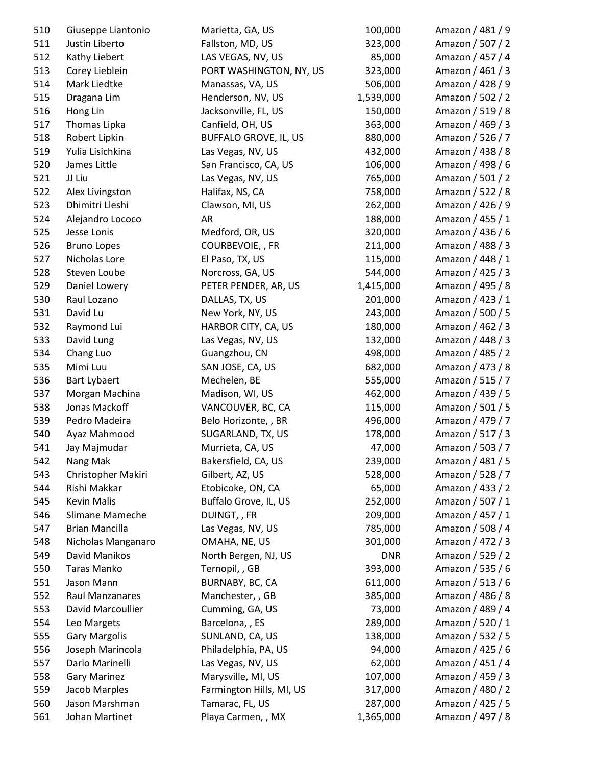| 510 | Giuseppe Liantonio    | Marietta, GA, US             | 100,000    | Amazon / 481 / 9 |
|-----|-----------------------|------------------------------|------------|------------------|
| 511 | Justin Liberto        | Fallston, MD, US             | 323,000    | Amazon / 507 / 2 |
| 512 | Kathy Liebert         | LAS VEGAS, NV, US            | 85,000     | Amazon / 457 / 4 |
| 513 | Corey Lieblein        | PORT WASHINGTON, NY, US      | 323,000    | Amazon / 461 / 3 |
| 514 | Mark Liedtke          | Manassas, VA, US             | 506,000    | Amazon / 428 / 9 |
| 515 | Dragana Lim           | Henderson, NV, US            | 1,539,000  | Amazon / 502 / 2 |
| 516 | Hong Lin              | Jacksonville, FL, US         | 150,000    | Amazon / 519 / 8 |
| 517 | Thomas Lipka          | Canfield, OH, US             | 363,000    | Amazon / 469 / 3 |
| 518 | Robert Lipkin         | <b>BUFFALO GROVE, IL, US</b> | 880,000    | Amazon / 526 / 7 |
| 519 | Yulia Lisichkina      | Las Vegas, NV, US            | 432,000    | Amazon / 438 / 8 |
| 520 | James Little          | San Francisco, CA, US        | 106,000    | Amazon / 498 / 6 |
| 521 | JJ Liu                | Las Vegas, NV, US            | 765,000    | Amazon / 501 / 2 |
| 522 | Alex Livingston       | Halifax, NS, CA              | 758,000    | Amazon / 522 / 8 |
| 523 | Dhimitri Lleshi       | Clawson, MI, US              | 262,000    | Amazon / 426 / 9 |
| 524 | Alejandro Lococo      | AR                           | 188,000    | Amazon / 455 / 1 |
| 525 | Jesse Lonis           | Medford, OR, US              | 320,000    | Amazon / 436 / 6 |
| 526 | <b>Bruno Lopes</b>    | COURBEVOIE,, FR              | 211,000    | Amazon / 488 / 3 |
| 527 | Nicholas Lore         | El Paso, TX, US              | 115,000    | Amazon / 448 / 1 |
| 528 | Steven Loube          | Norcross, GA, US             | 544,000    | Amazon / 425 / 3 |
| 529 | Daniel Lowery         | PETER PENDER, AR, US         | 1,415,000  | Amazon / 495 / 8 |
| 530 | Raul Lozano           | DALLAS, TX, US               | 201,000    | Amazon / 423 / 1 |
| 531 | David Lu              | New York, NY, US             | 243,000    | Amazon / 500 / 5 |
| 532 | Raymond Lui           | HARBOR CITY, CA, US          | 180,000    | Amazon / 462 / 3 |
| 533 | David Lung            | Las Vegas, NV, US            | 132,000    | Amazon / 448 / 3 |
| 534 | Chang Luo             | Guangzhou, CN                | 498,000    | Amazon / 485 / 2 |
| 535 | Mimi Luu              | SAN JOSE, CA, US             | 682,000    | Amazon / 473 / 8 |
| 536 | <b>Bart Lybaert</b>   | Mechelen, BE                 | 555,000    | Amazon / 515 / 7 |
| 537 | Morgan Machina        | Madison, WI, US              | 462,000    | Amazon / 439 / 5 |
| 538 | Jonas Mackoff         | VANCOUVER, BC, CA            | 115,000    | Amazon / 501 / 5 |
| 539 | Pedro Madeira         | Belo Horizonte, , BR         | 496,000    | Amazon / 479 / 7 |
| 540 | Ayaz Mahmood          | SUGARLAND, TX, US            | 178,000    | Amazon / 517 / 3 |
| 541 | Jay Majmudar          | Murrieta, CA, US             | 47,000     | Amazon / 503 / 7 |
| 542 | Nang Mak              | Bakersfield, CA, US          | 239,000    | Amazon / 481 / 5 |
| 543 | Christopher Makiri    | Gilbert, AZ, US              | 528,000    | Amazon / 528 / 7 |
| 544 | Rishi Makkar          | Etobicoke, ON, CA            | 65,000     | Amazon / 433 / 2 |
| 545 | <b>Kevin Malis</b>    | Buffalo Grove, IL, US        | 252,000    | Amazon / 507 / 1 |
| 546 | Slimane Mameche       | DUINGT,, FR                  | 209,000    | Amazon / 457 / 1 |
| 547 | <b>Brian Mancilla</b> | Las Vegas, NV, US            | 785,000    | Amazon / 508 / 4 |
| 548 | Nicholas Manganaro    | OMAHA, NE, US                | 301,000    | Amazon / 472 / 3 |
| 549 | David Manikos         | North Bergen, NJ, US         | <b>DNR</b> | Amazon / 529 / 2 |
| 550 | Taras Manko           | Ternopil, , GB               | 393,000    | Amazon / 535 / 6 |
| 551 | Jason Mann            | BURNABY, BC, CA              | 611,000    | Amazon / 513 / 6 |
| 552 | Raul Manzanares       | Manchester, , GB             | 385,000    | Amazon / 486 / 8 |
| 553 | David Marcoullier     | Cumming, GA, US              | 73,000     | Amazon / 489 / 4 |
| 554 | Leo Margets           | Barcelona, , ES              | 289,000    | Amazon / 520 / 1 |
| 555 | <b>Gary Margolis</b>  | SUNLAND, CA, US              | 138,000    | Amazon / 532 / 5 |
| 556 | Joseph Marincola      | Philadelphia, PA, US         | 94,000     | Amazon / 425 / 6 |
| 557 | Dario Marinelli       | Las Vegas, NV, US            | 62,000     | Amazon / 451 / 4 |
| 558 | <b>Gary Marinez</b>   | Marysville, MI, US           | 107,000    | Amazon / 459 / 3 |
| 559 | Jacob Marples         | Farmington Hills, MI, US     | 317,000    | Amazon / 480 / 2 |
| 560 | Jason Marshman        | Tamarac, FL, US              | 287,000    | Amazon / 425 / 5 |
| 561 | Johan Martinet        | Playa Carmen, , MX           | 1,365,000  | Amazon / 497 / 8 |
|     |                       |                              |            |                  |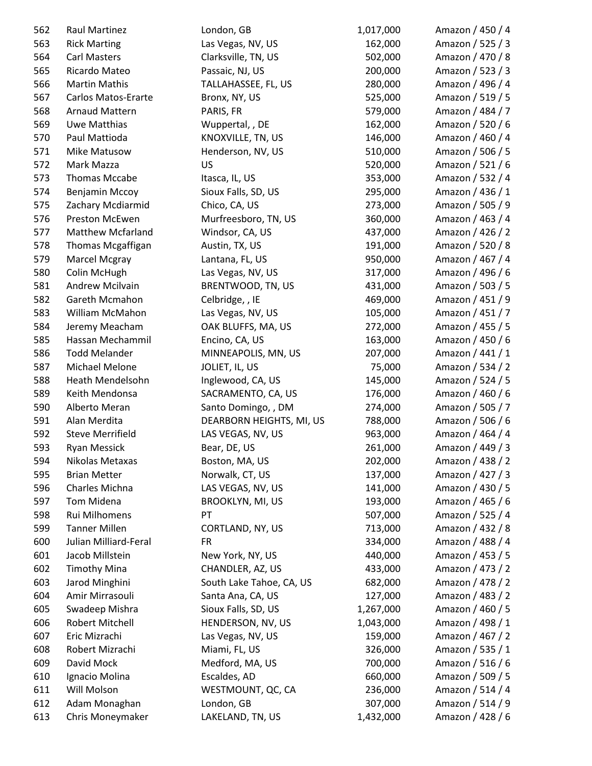| 562 | <b>Raul Martinez</b>       | London, GB               | 1,017,000 | Amazon / 450 / 4 |
|-----|----------------------------|--------------------------|-----------|------------------|
| 563 | <b>Rick Marting</b>        | Las Vegas, NV, US        | 162,000   | Amazon / 525 / 3 |
| 564 | <b>Carl Masters</b>        | Clarksville, TN, US      | 502,000   | Amazon / 470 / 8 |
| 565 | Ricardo Mateo              | Passaic, NJ, US          | 200,000   | Amazon / 523 / 3 |
| 566 | <b>Martin Mathis</b>       | TALLAHASSEE, FL, US      | 280,000   | Amazon / 496 / 4 |
| 567 | <b>Carlos Matos-Erarte</b> | Bronx, NY, US            | 525,000   | Amazon / 519 / 5 |
| 568 | <b>Arnaud Mattern</b>      | PARIS, FR                | 579,000   | Amazon / 484 / 7 |
| 569 | Uwe Matthias               | Wuppertal, , DE          | 162,000   | Amazon / 520 / 6 |
| 570 | Paul Mattioda              | KNOXVILLE, TN, US        | 146,000   | Amazon / 460 / 4 |
| 571 | Mike Matusow               | Henderson, NV, US        | 510,000   | Amazon / 506 / 5 |
| 572 | Mark Mazza                 | <b>US</b>                | 520,000   | Amazon / 521 / 6 |
| 573 | Thomas Mccabe              | Itasca, IL, US           | 353,000   | Amazon / 532 / 4 |
| 574 | Benjamin Mccoy             | Sioux Falls, SD, US      | 295,000   | Amazon / 436 / 1 |
| 575 | Zachary Mcdiarmid          | Chico, CA, US            | 273,000   | Amazon / 505 / 9 |
| 576 | Preston McEwen             | Murfreesboro, TN, US     | 360,000   | Amazon / 463 / 4 |
| 577 | <b>Matthew Mcfarland</b>   | Windsor, CA, US          | 437,000   | Amazon / 426 / 2 |
| 578 | Thomas Mcgaffigan          | Austin, TX, US           | 191,000   | Amazon / 520 / 8 |
| 579 | Marcel Mcgray              | Lantana, FL, US          | 950,000   | Amazon / 467 / 4 |
| 580 | Colin McHugh               | Las Vegas, NV, US        | 317,000   | Amazon / 496 / 6 |
| 581 | Andrew Mcilvain            | BRENTWOOD, TN, US        | 431,000   | Amazon / 503 / 5 |
| 582 | Gareth Mcmahon             | Celbridge, , IE          | 469,000   | Amazon / 451 / 9 |
| 583 | William McMahon            | Las Vegas, NV, US        | 105,000   | Amazon / 451 / 7 |
| 584 | Jeremy Meacham             | OAK BLUFFS, MA, US       | 272,000   | Amazon / 455 / 5 |
| 585 | Hassan Mechammil           | Encino, CA, US           | 163,000   | Amazon / 450 / 6 |
| 586 | <b>Todd Melander</b>       | MINNEAPOLIS, MN, US      | 207,000   | Amazon / 441 / 1 |
| 587 | Michael Melone             | JOLIET, IL, US           | 75,000    | Amazon / 534 / 2 |
| 588 | Heath Mendelsohn           | Inglewood, CA, US        | 145,000   | Amazon / 524 / 5 |
| 589 | Keith Mendonsa             | SACRAMENTO, CA, US       | 176,000   | Amazon / 460 / 6 |
| 590 | Alberto Meran              | Santo Domingo, , DM      | 274,000   | Amazon / 505 / 7 |
| 591 | Alan Merdita               | DEARBORN HEIGHTS, MI, US | 788,000   | Amazon / 506 / 6 |
| 592 | <b>Steve Merrifield</b>    | LAS VEGAS, NV, US        | 963,000   | Amazon / 464 / 4 |
| 593 | Ryan Messick               | Bear, DE, US             | 261,000   | Amazon / 449 / 3 |
| 594 | Nikolas Metaxas            | Boston, MA, US           | 202,000   | Amazon / 438 / 2 |
| 595 | <b>Brian Metter</b>        | Norwalk, CT, US          | 137,000   | Amazon / 427 / 3 |
| 596 | Charles Michna             | LAS VEGAS, NV, US        | 141,000   | Amazon / 430 / 5 |
| 597 | Tom Midena                 | <b>BROOKLYN, MI, US</b>  | 193,000   | Amazon / 465 / 6 |
| 598 | Rui Milhomens              | PT                       | 507,000   | Amazon / 525 / 4 |
| 599 | <b>Tanner Millen</b>       | CORTLAND, NY, US         | 713,000   | Amazon / 432 / 8 |
| 600 | Julian Milliard-Feral      | <b>FR</b>                | 334,000   | Amazon / 488 / 4 |
| 601 | Jacob Millstein            | New York, NY, US         | 440,000   | Amazon / 453 / 5 |
| 602 | <b>Timothy Mina</b>        | CHANDLER, AZ, US         | 433,000   | Amazon / 473 / 2 |
| 603 | Jarod Minghini             | South Lake Tahoe, CA, US | 682,000   | Amazon / 478 / 2 |
| 604 | Amir Mirrasouli            | Santa Ana, CA, US        | 127,000   | Amazon / 483 / 2 |
| 605 | Swadeep Mishra             | Sioux Falls, SD, US      | 1,267,000 | Amazon / 460 / 5 |
| 606 | Robert Mitchell            | HENDERSON, NV, US        | 1,043,000 | Amazon / 498 / 1 |
| 607 | Eric Mizrachi              | Las Vegas, NV, US        | 159,000   | Amazon / 467 / 2 |
| 608 | Robert Mizrachi            | Miami, FL, US            | 326,000   | Amazon / 535 / 1 |
| 609 | David Mock                 | Medford, MA, US          | 700,000   | Amazon / 516 / 6 |
| 610 | Ignacio Molina             | Escaldes, AD             | 660,000   | Amazon / 509 / 5 |
| 611 | Will Molson                | WESTMOUNT, QC, CA        | 236,000   | Amazon / 514 / 4 |
| 612 | Adam Monaghan              | London, GB               | 307,000   | Amazon / 514 / 9 |
| 613 | Chris Moneymaker           | LAKELAND, TN, US         | 1,432,000 | Amazon / 428 / 6 |
|     |                            |                          |           |                  |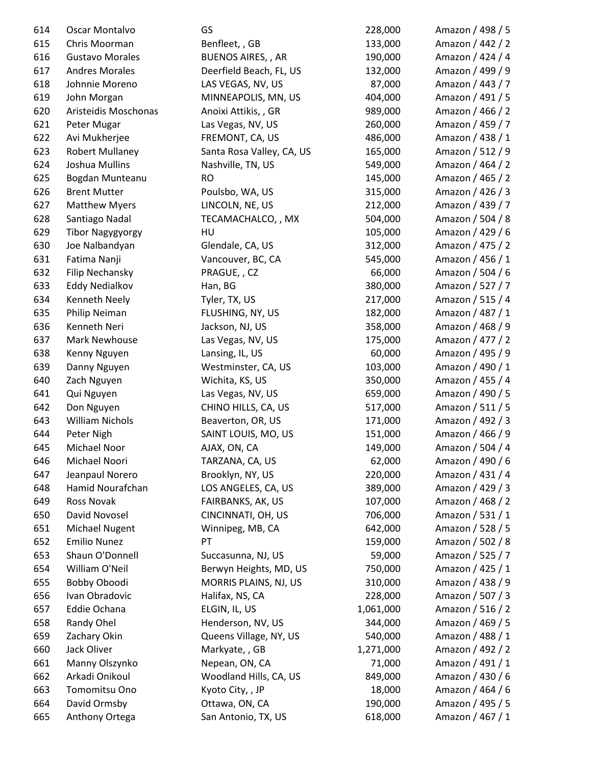| 614 | Oscar Montalvo          | GS                        | 228,000   | Amazon / 498 / 5 |
|-----|-------------------------|---------------------------|-----------|------------------|
| 615 | Chris Moorman           | Benfleet, , GB            | 133,000   | Amazon / 442 / 2 |
| 616 | <b>Gustavo Morales</b>  | <b>BUENOS AIRES, , AR</b> | 190,000   | Amazon / 424 / 4 |
| 617 | <b>Andres Morales</b>   | Deerfield Beach, FL, US   | 132,000   | Amazon / 499 / 9 |
| 618 | Johnnie Moreno          | LAS VEGAS, NV, US         | 87,000    | Amazon / 443 / 7 |
| 619 | John Morgan             | MINNEAPOLIS, MN, US       | 404,000   | Amazon / 491 / 5 |
| 620 | Aristeidis Moschonas    | Anoixi Attikis, , GR      | 989,000   | Amazon / 466 / 2 |
| 621 | Peter Mugar             | Las Vegas, NV, US         | 260,000   | Amazon / 459 / 7 |
| 622 | Avi Mukherjee           | FREMONT, CA, US           | 486,000   | Amazon / 438 / 1 |
| 623 | <b>Robert Mullaney</b>  | Santa Rosa Valley, CA, US | 165,000   | Amazon / 512 / 9 |
| 624 | Joshua Mullins          | Nashville, TN, US         | 549,000   | Amazon / 464 / 2 |
| 625 | Bogdan Munteanu         | <b>RO</b>                 | 145,000   | Amazon / 465 / 2 |
| 626 | <b>Brent Mutter</b>     | Poulsbo, WA, US           | 315,000   | Amazon / 426 / 3 |
| 627 | <b>Matthew Myers</b>    | LINCOLN, NE, US           | 212,000   | Amazon / 439 / 7 |
| 628 | Santiago Nadal          | TECAMACHALCO, , MX        | 504,000   | Amazon / 504 / 8 |
| 629 | <b>Tibor Nagygyorgy</b> | HU                        | 105,000   | Amazon / 429 / 6 |
| 630 | Joe Nalbandyan          | Glendale, CA, US          | 312,000   | Amazon / 475 / 2 |
| 631 | Fatima Nanji            | Vancouver, BC, CA         | 545,000   | Amazon / 456 / 1 |
| 632 | Filip Nechansky         | PRAGUE, , CZ              | 66,000    | Amazon / 504 / 6 |
| 633 | <b>Eddy Nedialkov</b>   | Han, BG                   | 380,000   | Amazon / 527 / 7 |
| 634 | Kenneth Neely           | Tyler, TX, US             | 217,000   | Amazon / 515 / 4 |
| 635 | Philip Neiman           | FLUSHING, NY, US          | 182,000   | Amazon / 487 / 1 |
| 636 | Kenneth Neri            | Jackson, NJ, US           | 358,000   | Amazon / 468 / 9 |
| 637 | Mark Newhouse           | Las Vegas, NV, US         | 175,000   | Amazon / 477 / 2 |
| 638 | Kenny Nguyen            | Lansing, IL, US           | 60,000    | Amazon / 495 / 9 |
| 639 | Danny Nguyen            | Westminster, CA, US       | 103,000   | Amazon / 490 / 1 |
| 640 | Zach Nguyen             | Wichita, KS, US           | 350,000   | Amazon / 455 / 4 |
| 641 | Qui Nguyen              | Las Vegas, NV, US         | 659,000   | Amazon / 490 / 5 |
| 642 | Don Nguyen              | CHINO HILLS, CA, US       | 517,000   | Amazon / 511 / 5 |
| 643 | William Nichols         | Beaverton, OR, US         | 171,000   | Amazon / 492 / 3 |
| 644 | Peter Nigh              | SAINT LOUIS, MO, US       | 151,000   | Amazon / 466 / 9 |
| 645 | Michael Noor            | AJAX, ON, CA              | 149,000   | Amazon / 504 / 4 |
| 646 | Michael Noori           | TARZANA, CA, US           | 62,000    | Amazon / 490 / 6 |
| 647 | Jeanpaul Norero         | Brooklyn, NY, US          | 220,000   | Amazon / 431 / 4 |
| 648 | Hamid Nourafchan        | LOS ANGELES, CA, US       | 389,000   | Amazon / 429 / 3 |
| 649 | Ross Novak              | FAIRBANKS, AK, US         | 107,000   | Amazon / 468 / 2 |
| 650 | David Novosel           | CINCINNATI, OH, US        | 706,000   | Amazon / 531 / 1 |
| 651 | <b>Michael Nugent</b>   | Winnipeg, MB, CA          | 642,000   | Amazon / 528 / 5 |
| 652 | <b>Emilio Nunez</b>     | PT                        | 159,000   | Amazon / 502 / 8 |
| 653 | Shaun O'Donnell         | Succasunna, NJ, US        | 59,000    | Amazon / 525 / 7 |
| 654 | William O'Neil          | Berwyn Heights, MD, US    | 750,000   | Amazon / 425 / 1 |
| 655 | Bobby Oboodi            | MORRIS PLAINS, NJ, US     | 310,000   | Amazon / 438 / 9 |
| 656 | Ivan Obradovic          | Halifax, NS, CA           | 228,000   | Amazon / 507 / 3 |
| 657 | Eddie Ochana            | ELGIN, IL, US             | 1,061,000 | Amazon / 516 / 2 |
| 658 | Randy Ohel              | Henderson, NV, US         | 344,000   | Amazon / 469 / 5 |
| 659 | Zachary Okin            | Queens Village, NY, US    | 540,000   | Amazon / 488 / 1 |
| 660 | Jack Oliver             | Markyate, , GB            | 1,271,000 | Amazon / 492 / 2 |
| 661 | Manny Olszynko          | Nepean, ON, CA            | 71,000    | Amazon / 491 / 1 |
| 662 | Arkadi Onikoul          | Woodland Hills, CA, US    | 849,000   | Amazon / 430 / 6 |
| 663 | Tomomitsu Ono           | Kyoto City, , JP          | 18,000    | Amazon / 464 / 6 |
| 664 | David Ormsby            | Ottawa, ON, CA            | 190,000   | Amazon / 495 / 5 |
| 665 | Anthony Ortega          | San Antonio, TX, US       | 618,000   | Amazon / 467 / 1 |
|     |                         |                           |           |                  |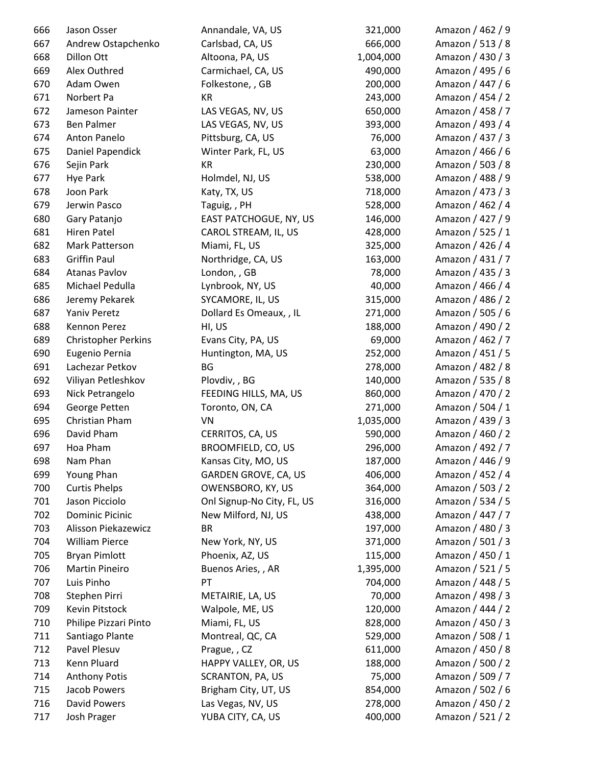| 666 | Jason Osser                | Annandale, VA, US          | 321,000   | Amazon / 462 / 9 |
|-----|----------------------------|----------------------------|-----------|------------------|
| 667 | Andrew Ostapchenko         | Carlsbad, CA, US           | 666,000   | Amazon / 513 / 8 |
| 668 | Dillon Ott                 | Altoona, PA, US            | 1,004,000 | Amazon / 430 / 3 |
| 669 | Alex Outhred               | Carmichael, CA, US         | 490,000   | Amazon / 495 / 6 |
| 670 | Adam Owen                  | Folkestone, , GB           | 200,000   | Amazon / 447 / 6 |
| 671 | Norbert Pa                 | KR                         | 243,000   | Amazon / 454 / 2 |
| 672 | Jameson Painter            | LAS VEGAS, NV, US          | 650,000   | Amazon / 458 / 7 |
| 673 | <b>Ben Palmer</b>          | LAS VEGAS, NV, US          | 393,000   | Amazon / 493 / 4 |
| 674 | Anton Panelo               | Pittsburg, CA, US          | 76,000    | Amazon / 437 / 3 |
| 675 | Daniel Papendick           | Winter Park, FL, US        | 63,000    | Amazon / 466 / 6 |
| 676 | Sejin Park                 | KR                         | 230,000   | Amazon / 503 / 8 |
| 677 | <b>Hye Park</b>            | Holmdel, NJ, US            | 538,000   | Amazon / 488 / 9 |
| 678 | Joon Park                  | Katy, TX, US               | 718,000   | Amazon / 473 / 3 |
| 679 | Jerwin Pasco               | Taguig, , PH               | 528,000   | Amazon / 462 / 4 |
| 680 | Gary Patanjo               | EAST PATCHOGUE, NY, US     | 146,000   | Amazon / 427 / 9 |
| 681 | <b>Hiren Patel</b>         | CAROL STREAM, IL, US       | 428,000   | Amazon / 525 / 1 |
| 682 | Mark Patterson             | Miami, FL, US              | 325,000   | Amazon / 426 / 4 |
| 683 | <b>Griffin Paul</b>        | Northridge, CA, US         | 163,000   | Amazon / 431 / 7 |
| 684 | <b>Atanas Pavlov</b>       | London, , GB               | 78,000    | Amazon / 435 / 3 |
| 685 | Michael Pedulla            | Lynbrook, NY, US           | 40,000    | Amazon / 466 / 4 |
| 686 | Jeremy Pekarek             | SYCAMORE, IL, US           | 315,000   | Amazon / 486 / 2 |
| 687 | Yaniv Peretz               | Dollard Es Omeaux, , IL    | 271,000   | Amazon / 505 / 6 |
| 688 | Kennon Perez               | HI, US                     | 188,000   | Amazon / 490 / 2 |
| 689 | <b>Christopher Perkins</b> | Evans City, PA, US         | 69,000    | Amazon / 462 / 7 |
| 690 | Eugenio Pernia             | Huntington, MA, US         | 252,000   | Amazon / 451 / 5 |
| 691 | Lachezar Petkov            | BG                         | 278,000   | Amazon / 482 / 8 |
| 692 | Viliyan Petleshkov         | Plovdiv, , BG              | 140,000   | Amazon / 535 / 8 |
| 693 | Nick Petrangelo            | FEEDING HILLS, MA, US      | 860,000   | Amazon / 470 / 2 |
| 694 | George Petten              | Toronto, ON, CA            | 271,000   | Amazon / 504 / 1 |
| 695 | Christian Pham             | VN                         | 1,035,000 | Amazon / 439 / 3 |
| 696 | David Pham                 | CERRITOS, CA, US           | 590,000   | Amazon / 460 / 2 |
| 697 | Hoa Pham                   | BROOMFIELD, CO, US         | 296,000   | Amazon / 492 / 7 |
| 698 | Nam Phan                   | Kansas City, MO, US        | 187,000   | Amazon / 446 / 9 |
| 699 | Young Phan                 | GARDEN GROVE, CA, US       | 406,000   | Amazon / 452 / 4 |
| 700 | <b>Curtis Phelps</b>       | OWENSBORO, KY, US          | 364,000   | Amazon / 503 / 2 |
| 701 | Jason Picciolo             | Onl Signup-No City, FL, US | 316,000   | Amazon / 534 / 5 |
| 702 | <b>Dominic Picinic</b>     | New Milford, NJ, US        | 438,000   | Amazon / 447 / 7 |
| 703 | Alisson Piekazewicz        | <b>BR</b>                  | 197,000   | Amazon / 480 / 3 |
| 704 | <b>William Pierce</b>      | New York, NY, US           | 371,000   | Amazon / 501 / 3 |
| 705 | <b>Bryan Pimlott</b>       | Phoenix, AZ, US            | 115,000   | Amazon / 450 / 1 |
| 706 | <b>Martin Pineiro</b>      | Buenos Aries, , AR         | 1,395,000 | Amazon / 521 / 5 |
| 707 | Luis Pinho                 | PT                         | 704,000   | Amazon / 448 / 5 |
| 708 | Stephen Pirri              |                            | 70,000    | Amazon / 498 / 3 |
| 709 | Kevin Pitstock             | METAIRIE, LA, US           | 120,000   | Amazon / 444 / 2 |
|     |                            | Walpole, ME, US            |           |                  |
| 710 | Philipe Pizzari Pinto      | Miami, FL, US              | 828,000   | Amazon / 450 / 3 |
| 711 | Santiago Plante            | Montreal, QC, CA           | 529,000   | Amazon / 508 / 1 |
| 712 | Pavel Plesuv               | Prague, , CZ               | 611,000   | Amazon / 450 / 8 |
| 713 | Kenn Pluard                | HAPPY VALLEY, OR, US       | 188,000   | Amazon / 500 / 2 |
| 714 | <b>Anthony Potis</b>       | SCRANTON, PA, US           | 75,000    | Amazon / 509 / 7 |
| 715 | Jacob Powers               | Brigham City, UT, US       | 854,000   | Amazon / 502 / 6 |
| 716 | <b>David Powers</b>        | Las Vegas, NV, US          | 278,000   | Amazon / 450 / 2 |
| 717 | Josh Prager                | YUBA CITY, CA, US          | 400,000   | Amazon / 521 / 2 |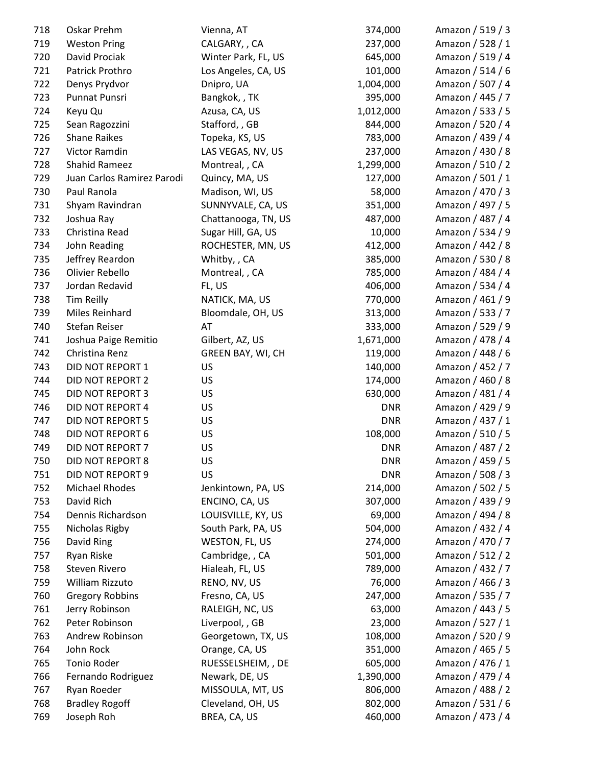| 718 | Oskar Prehm                | Vienna, AT          | 374,000    | Amazon / 519 / 3 |
|-----|----------------------------|---------------------|------------|------------------|
| 719 | <b>Weston Pring</b>        | CALGARY, , CA       | 237,000    | Amazon / 528 / 1 |
| 720 | David Prociak              | Winter Park, FL, US | 645,000    | Amazon / 519 / 4 |
| 721 | Patrick Prothro            | Los Angeles, CA, US | 101,000    | Amazon / 514 / 6 |
| 722 | Denys Prydvor              | Dnipro, UA          | 1,004,000  | Amazon / 507 / 4 |
| 723 | Punnat Punsri              | Bangkok,, TK        | 395,000    | Amazon / 445 / 7 |
| 724 | Keyu Qu                    | Azusa, CA, US       | 1,012,000  | Amazon / 533 / 5 |
| 725 | Sean Ragozzini             | Stafford, , GB      | 844,000    | Amazon / 520 / 4 |
| 726 | <b>Shane Raikes</b>        | Topeka, KS, US      | 783,000    | Amazon / 439 / 4 |
| 727 | Victor Ramdin              | LAS VEGAS, NV, US   | 237,000    | Amazon / 430 / 8 |
| 728 | <b>Shahid Rameez</b>       | Montreal, , CA      | 1,299,000  | Amazon / 510 / 2 |
| 729 | Juan Carlos Ramirez Parodi | Quincy, MA, US      | 127,000    | Amazon / 501 / 1 |
| 730 | Paul Ranola                | Madison, WI, US     | 58,000     | Amazon / 470 / 3 |
| 731 | Shyam Ravindran            | SUNNYVALE, CA, US   | 351,000    | Amazon / 497 / 5 |
| 732 | Joshua Ray                 | Chattanooga, TN, US | 487,000    | Amazon / 487 / 4 |
| 733 | Christina Read             | Sugar Hill, GA, US  | 10,000     | Amazon / 534 / 9 |
| 734 | John Reading               | ROCHESTER, MN, US   | 412,000    | Amazon / 442 / 8 |
| 735 | Jeffrey Reardon            | Whitby, , CA        | 385,000    | Amazon / 530 / 8 |
| 736 | Olivier Rebello            | Montreal, , CA      | 785,000    | Amazon / 484 / 4 |
| 737 | Jordan Redavid             | FL, US              | 406,000    | Amazon / 534 / 4 |
| 738 | <b>Tim Reilly</b>          | NATICK, MA, US      | 770,000    | Amazon / 461 / 9 |
| 739 | Miles Reinhard             | Bloomdale, OH, US   | 313,000    | Amazon / 533 / 7 |
| 740 | Stefan Reiser              | AT                  | 333,000    | Amazon / 529 / 9 |
| 741 | Joshua Paige Remitio       | Gilbert, AZ, US     | 1,671,000  | Amazon / 478 / 4 |
| 742 | Christina Renz             | GREEN BAY, WI, CH   | 119,000    | Amazon / 448 / 6 |
| 743 | DID NOT REPORT 1           | US                  | 140,000    | Amazon / 452 / 7 |
| 744 | DID NOT REPORT 2           | US                  | 174,000    | Amazon / 460 / 8 |
| 745 | DID NOT REPORT 3           | US                  | 630,000    | Amazon / 481 / 4 |
| 746 | DID NOT REPORT 4           | US                  | <b>DNR</b> | Amazon / 429 / 9 |
| 747 | DID NOT REPORT 5           | US                  | <b>DNR</b> | Amazon / 437 / 1 |
| 748 | DID NOT REPORT 6           | US                  | 108,000    | Amazon / 510 / 5 |
| 749 | DID NOT REPORT 7           | US                  | <b>DNR</b> | Amazon / 487 / 2 |
| 750 | DID NOT REPORT 8           | US                  | <b>DNR</b> | Amazon / 459 / 5 |
| 751 | DID NOT REPORT 9           | US                  | <b>DNR</b> | Amazon / 508 / 3 |
| 752 | <b>Michael Rhodes</b>      | Jenkintown, PA, US  | 214,000    | Amazon / 502 / 5 |
| 753 | David Rich                 | ENCINO, CA, US      | 307,000    | Amazon / 439 / 9 |
| 754 | Dennis Richardson          | LOUISVILLE, KY, US  | 69,000     | Amazon / 494 / 8 |
| 755 | Nicholas Rigby             | South Park, PA, US  | 504,000    | Amazon / 432 / 4 |
| 756 | David Ring                 | WESTON, FL, US      | 274,000    | Amazon / 470 / 7 |
| 757 | Ryan Riske                 | Cambridge, , CA     | 501,000    | Amazon / 512 / 2 |
| 758 | Steven Rivero              | Hialeah, FL, US     | 789,000    | Amazon / 432 / 7 |
| 759 | William Rizzuto            | RENO, NV, US        | 76,000     | Amazon / 466 / 3 |
| 760 | <b>Gregory Robbins</b>     | Fresno, CA, US      | 247,000    | Amazon / 535 / 7 |
| 761 |                            |                     | 63,000     | Amazon / 443 / 5 |
|     | Jerry Robinson             | RALEIGH, NC, US     |            |                  |
| 762 | Peter Robinson             | Liverpool, , GB     | 23,000     | Amazon / 527 / 1 |
| 763 | Andrew Robinson            | Georgetown, TX, US  | 108,000    | Amazon / 520 / 9 |
| 764 | John Rock                  | Orange, CA, US      | 351,000    | Amazon / 465 / 5 |
| 765 | Tonio Roder                | RUESSELSHEIM, , DE  | 605,000    | Amazon / 476 / 1 |
| 766 | Fernando Rodriguez         | Newark, DE, US      | 1,390,000  | Amazon / 479 / 4 |
| 767 | Ryan Roeder                | MISSOULA, MT, US    | 806,000    | Amazon / 488 / 2 |
| 768 | <b>Bradley Rogoff</b>      | Cleveland, OH, US   | 802,000    | Amazon / 531 / 6 |
| 769 | Joseph Roh                 | BREA, CA, US        | 460,000    | Amazon / 473 / 4 |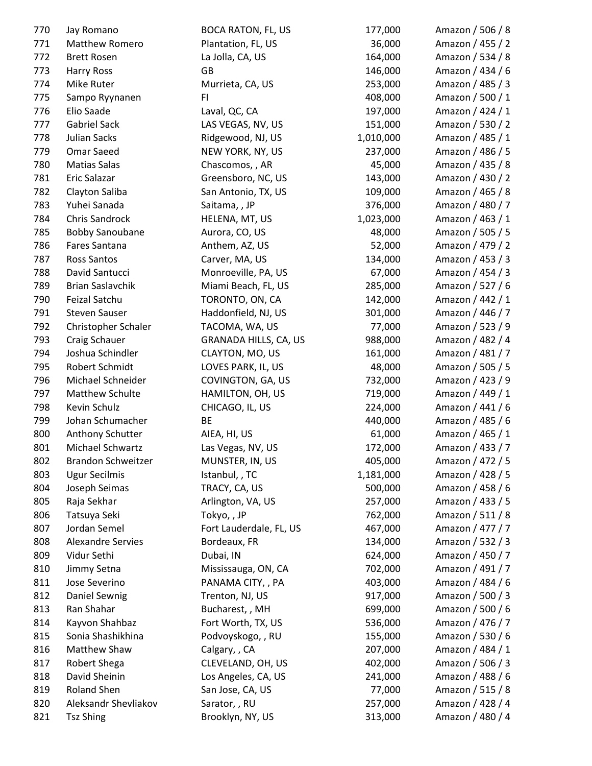| 770        | Jay Romano                          | <b>BOCA RATON, FL, US</b> | 177,000            | Amazon / 506 / 8 |
|------------|-------------------------------------|---------------------------|--------------------|------------------|
| 771        | Matthew Romero                      | Plantation, FL, US        | 36,000             | Amazon / 455 / 2 |
| 772        | <b>Brett Rosen</b>                  | La Jolla, CA, US          | 164,000            | Amazon / 534 / 8 |
| 773        | Harry Ross                          | GB                        | 146,000            | Amazon / 434 / 6 |
| 774        | <b>Mike Ruter</b>                   | Murrieta, CA, US          | 253,000            | Amazon / 485 / 3 |
| 775        | Sampo Ryynanen                      | FI.                       | 408,000            | Amazon / 500 / 1 |
| 776        | Elio Saade                          | Laval, QC, CA             | 197,000            | Amazon / 424 / 1 |
| 777        | <b>Gabriel Sack</b>                 | LAS VEGAS, NV, US         | 151,000            | Amazon / 530 / 2 |
| 778        | Julian Sacks                        | Ridgewood, NJ, US         | 1,010,000          | Amazon / 485 / 1 |
| 779        | Omar Saeed                          | NEW YORK, NY, US          | 237,000            | Amazon / 486 / 5 |
| 780        | <b>Matias Salas</b>                 | Chascomos, , AR           | 45,000             | Amazon / 435 / 8 |
| 781        | Eric Salazar                        | Greensboro, NC, US        | 143,000            | Amazon / 430 / 2 |
| 782        | Clayton Saliba                      | San Antonio, TX, US       | 109,000            | Amazon / 465 / 8 |
| 783        | Yuhei Sanada                        | Saitama, , JP             | 376,000            | Amazon / 480 / 7 |
| 784        | <b>Chris Sandrock</b>               | HELENA, MT, US            | 1,023,000          | Amazon / 463 / 1 |
| 785        | <b>Bobby Sanoubane</b>              | Aurora, CO, US            | 48,000             | Amazon / 505 / 5 |
| 786        | Fares Santana                       | Anthem, AZ, US            | 52,000             | Amazon / 479 / 2 |
| 787        | <b>Ross Santos</b>                  | Carver, MA, US            | 134,000            | Amazon / 453 / 3 |
| 788        | David Santucci                      | Monroeville, PA, US       | 67,000             | Amazon / 454 / 3 |
| 789        | <b>Brian Saslavchik</b>             | Miami Beach, FL, US       | 285,000            | Amazon / 527 / 6 |
| 790        | Feizal Satchu                       | TORONTO, ON, CA           | 142,000            | Amazon / 442 / 1 |
| 791        | <b>Steven Sauser</b>                | Haddonfield, NJ, US       | 301,000            | Amazon / 446 / 7 |
| 792        | Christopher Schaler                 | TACOMA, WA, US            | 77,000             | Amazon / 523 / 9 |
| 793        | Craig Schauer                       | GRANADA HILLS, CA, US     | 988,000            | Amazon / 482 / 4 |
| 794        | Joshua Schindler                    | CLAYTON, MO, US           | 161,000            | Amazon / 481 / 7 |
| 795        | Robert Schmidt                      | LOVES PARK, IL, US        | 48,000             | Amazon / 505 / 5 |
| 796        | Michael Schneider                   | COVINGTON, GA, US         | 732,000            | Amazon / 423 / 9 |
| 797        | Matthew Schulte                     | HAMILTON, OH, US          | 719,000            | Amazon / 449 / 1 |
| 798        | Kevin Schulz                        | CHICAGO, IL, US           | 224,000            | Amazon / 441 / 6 |
| 799        | Johan Schumacher                    | BE                        | 440,000            | Amazon / 485 / 6 |
| 800        | Anthony Schutter                    | AIEA, HI, US              | 61,000             | Amazon / 465 / 1 |
| 801        | Michael Schwartz                    | Las Vegas, NV, US         | 172,000            | Amazon / 433 / 7 |
| 802        | <b>Brandon Schweitzer</b>           | MUNSTER, IN, US           | 405,000            | Amazon / 472 / 5 |
| 803        | <b>Ugur Secilmis</b>                | Istanbul, , TC            | 1,181,000          | Amazon / 428 / 5 |
| 804        | Joseph Seimas                       | TRACY, CA, US             | 500,000            | Amazon / 458 / 6 |
| 805        | Raja Sekhar                         | Arlington, VA, US         | 257,000            | Amazon / 433 / 5 |
| 806        | Tatsuya Seki                        | Tokyo,, JP                | 762,000            | Amazon / 511 / 8 |
| 807        | Jordan Semel                        | Fort Lauderdale, FL, US   | 467,000            | Amazon / 477 / 7 |
| 808        | <b>Alexandre Servies</b>            | Bordeaux, FR              | 134,000            | Amazon / 532 / 3 |
| 809        | Vidur Sethi                         | Dubai, IN                 | 624,000            | Amazon / 450 / 7 |
| 810        | Jimmy Setna                         | Mississauga, ON, CA       | 702,000            | Amazon / 491 / 7 |
| 811        | Jose Severino                       | PANAMA CITY, , PA         | 403,000            | Amazon / 484 / 6 |
| 812        | Daniel Sewnig                       | Trenton, NJ, US           | 917,000            | Amazon / 500 / 3 |
| 813        | Ran Shahar                          | Bucharest, , MH           | 699,000            | Amazon / 500 / 6 |
| 814        | Kayvon Shahbaz                      | Fort Worth, TX, US        | 536,000            | Amazon / 476 / 7 |
| 815        | Sonia Shashikhina                   | Podvoyskogo, , RU         | 155,000            | Amazon / 530 / 6 |
|            |                                     |                           |                    |                  |
| 816        | Matthew Shaw                        | Calgary, , CA             | 207,000<br>402,000 | Amazon / 484 / 1 |
| 817        | Robert Shega                        | CLEVELAND, OH, US         |                    | Amazon / 506 / 3 |
| 818        | David Sheinin                       | Los Angeles, CA, US       | 241,000            | Amazon / 488 / 6 |
| 819<br>820 | Roland Shen<br>Aleksandr Shevliakov | San Jose, CA, US          | 77,000             | Amazon / 515 / 8 |
|            |                                     | Sarator, , RU             | 257,000            | Amazon / 428 / 4 |
| 821        | <b>Tsz Shing</b>                    | Brooklyn, NY, US          | 313,000            | Amazon / 480 / 4 |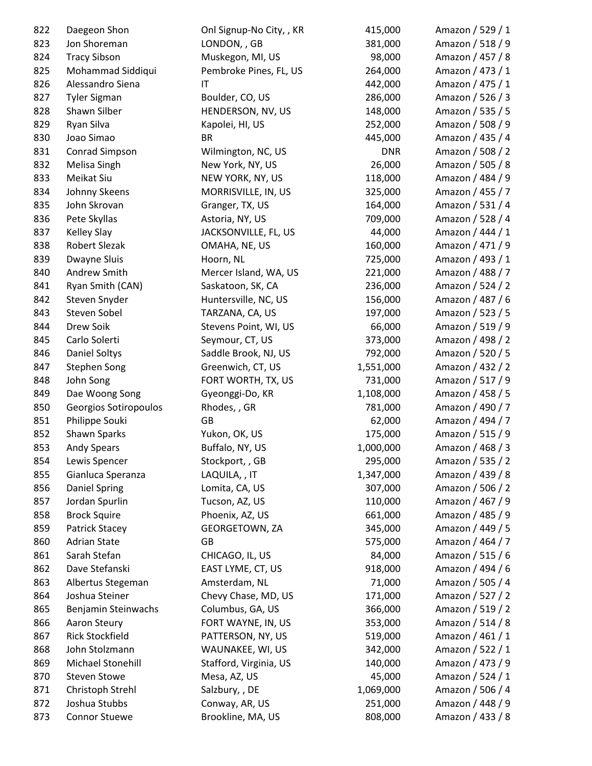| 822 | Daegeon Shon           | Onl Signup-No City, , KR | 415,000    | Amazon / 529 / 1 |
|-----|------------------------|--------------------------|------------|------------------|
| 823 | Jon Shoreman           | LONDON, , GB             | 381,000    | Amazon / 518 / 9 |
| 824 | <b>Tracy Sibson</b>    | Muskegon, MI, US         | 98,000     | Amazon / 457 / 8 |
| 825 | Mohammad Siddiqui      | Pembroke Pines, FL, US   | 264,000    | Amazon / 473 / 1 |
| 826 | Alessandro Siena       | IT                       | 442,000    | Amazon / 475 / 1 |
| 827 | <b>Tyler Sigman</b>    | Boulder, CO, US          | 286,000    | Amazon / 526 / 3 |
| 828 | Shawn Silber           | HENDERSON, NV, US        | 148,000    | Amazon / 535 / 5 |
| 829 | Ryan Silva             | Kapolei, HI, US          | 252,000    | Amazon / 508 / 9 |
| 830 | Joao Simao             | <b>BR</b>                | 445,000    | Amazon / 435 / 4 |
| 831 | Conrad Simpson         | Wilmington, NC, US       | <b>DNR</b> | Amazon / 508 / 2 |
| 832 | Melisa Singh           | New York, NY, US         | 26,000     | Amazon / 505 / 8 |
| 833 | Meikat Siu             | NEW YORK, NY, US         | 118,000    | Amazon / 484 / 9 |
| 834 | Johnny Skeens          | MORRISVILLE, IN, US      | 325,000    | Amazon / 455 / 7 |
| 835 | John Skrovan           | Granger, TX, US          | 164,000    | Amazon / 531 / 4 |
| 836 | Pete Skyllas           | Astoria, NY, US          | 709,000    | Amazon / 528 / 4 |
| 837 | <b>Kelley Slay</b>     | JACKSONVILLE, FL, US     | 44,000     | Amazon / 444 / 1 |
| 838 | <b>Robert Slezak</b>   | OMAHA, NE, US            | 160,000    | Amazon / 471 / 9 |
| 839 | Dwayne Sluis           | Hoorn, NL                | 725,000    | Amazon / 493 / 1 |
| 840 | Andrew Smith           | Mercer Island, WA, US    | 221,000    | Amazon / 488 / 7 |
| 841 | Ryan Smith (CAN)       | Saskatoon, SK, CA        | 236,000    | Amazon / 524 / 2 |
| 842 | Steven Snyder          | Huntersville, NC, US     | 156,000    | Amazon / 487 / 6 |
| 843 | Steven Sobel           | TARZANA, CA, US          | 197,000    | Amazon / 523 / 5 |
| 844 | Drew Soik              | Stevens Point, WI, US    | 66,000     | Amazon / 519 / 9 |
| 845 | Carlo Solerti          | Seymour, CT, US          | 373,000    | Amazon / 498 / 2 |
| 846 | Daniel Soltys          | Saddle Brook, NJ, US     | 792,000    | Amazon / 520 / 5 |
| 847 | <b>Stephen Song</b>    | Greenwich, CT, US        | 1,551,000  | Amazon / 432 / 2 |
| 848 | John Song              | FORT WORTH, TX, US       | 731,000    | Amazon / 517 / 9 |
| 849 | Dae Woong Song         | Gyeonggi-Do, KR          | 1,108,000  | Amazon / 458 / 5 |
| 850 | Georgios Sotiropoulos  | Rhodes, , GR             | 781,000    | Amazon / 490 / 7 |
| 851 | Philippe Souki         | GB                       | 62,000     | Amazon / 494 / 7 |
| 852 | Shawn Sparks           | Yukon, OK, US            | 175,000    | Amazon / 515 / 9 |
| 853 | <b>Andy Spears</b>     | Buffalo, NY, US          | 1,000,000  | Amazon / 468 / 3 |
| 854 | Lewis Spencer          | Stockport, , GB          | 295,000    | Amazon / 535 / 2 |
| 855 | Gianluca Speranza      | LAQUILA, , IT            | 1,347,000  | Amazon / 439 / 8 |
| 856 | <b>Daniel Spring</b>   | Lomita, CA, US           | 307,000    | Amazon / 506 / 2 |
| 857 | Jordan Spurlin         | Tucson, AZ, US           | 110,000    | Amazon / 467 / 9 |
| 858 | <b>Brock Squire</b>    | Phoenix, AZ, US          | 661,000    | Amazon / 485 / 9 |
| 859 | Patrick Stacey         | GEORGETOWN, ZA           | 345,000    | Amazon / 449 / 5 |
| 860 | <b>Adrian State</b>    | GB                       | 575,000    | Amazon / 464 / 7 |
| 861 | Sarah Stefan           | CHICAGO, IL, US          | 84,000     | Amazon / 515 / 6 |
| 862 | Dave Stefanski         | EAST LYME, CT, US        | 918,000    | Amazon / 494 / 6 |
| 863 | Albertus Stegeman      | Amsterdam, NL            | 71,000     | Amazon / 505 / 4 |
| 864 | Joshua Steiner         | Chevy Chase, MD, US      | 171,000    | Amazon / 527 / 2 |
| 865 | Benjamin Steinwachs    | Columbus, GA, US         | 366,000    | Amazon / 519 / 2 |
| 866 | Aaron Steury           | FORT WAYNE, IN, US       | 353,000    | Amazon / 514 / 8 |
| 867 | <b>Rick Stockfield</b> | PATTERSON, NY, US        | 519,000    | Amazon / 461 / 1 |
| 868 | John Stolzmann         | WAUNAKEE, WI, US         | 342,000    | Amazon / 522 / 1 |
| 869 | Michael Stonehill      | Stafford, Virginia, US   | 140,000    | Amazon / 473 / 9 |
| 870 | <b>Steven Stowe</b>    | Mesa, AZ, US             | 45,000     | Amazon / 524 / 1 |
| 871 | Christoph Strehl       | Salzbury, , DE           | 1,069,000  | Amazon / 506 / 4 |
| 872 | Joshua Stubbs          | Conway, AR, US           | 251,000    | Amazon / 448 / 9 |
| 873 | <b>Connor Stuewe</b>   | Brookline, MA, US        | 808,000    | Amazon / 433 / 8 |
|     |                        |                          |            |                  |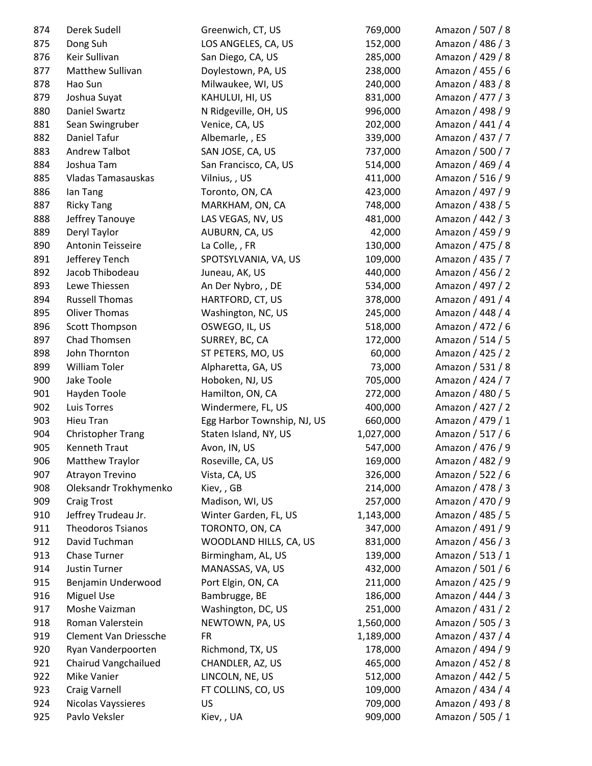| 874 | Derek Sudell             | Greenwich, CT, US           | 769,000   | Amazon / 507 / 8 |
|-----|--------------------------|-----------------------------|-----------|------------------|
| 875 | Dong Suh                 | LOS ANGELES, CA, US         | 152,000   | Amazon / 486 / 3 |
| 876 | Keir Sullivan            | San Diego, CA, US           | 285,000   | Amazon / 429 / 8 |
| 877 | Matthew Sullivan         | Doylestown, PA, US          | 238,000   | Amazon / 455 / 6 |
| 878 | Hao Sun                  | Milwaukee, WI, US           | 240,000   | Amazon / 483 / 8 |
| 879 | Joshua Suyat             | KAHULUI, HI, US             | 831,000   | Amazon / 477 / 3 |
| 880 | <b>Daniel Swartz</b>     | N Ridgeville, OH, US        | 996,000   | Amazon / 498 / 9 |
| 881 | Sean Swingruber          | Venice, CA, US              | 202,000   | Amazon / 441 / 4 |
| 882 | Daniel Tafur             | Albemarle, , ES             | 339,000   | Amazon / 437 / 7 |
| 883 | <b>Andrew Talbot</b>     | SAN JOSE, CA, US            | 737,000   | Amazon / 500 / 7 |
| 884 | Joshua Tam               | San Francisco, CA, US       | 514,000   | Amazon / 469 / 4 |
| 885 | Vladas Tamasauskas       | Vilnius, , US               | 411,000   | Amazon / 516 / 9 |
| 886 | lan Tang                 | Toronto, ON, CA             | 423,000   | Amazon / 497 / 9 |
| 887 | <b>Ricky Tang</b>        | MARKHAM, ON, CA             | 748,000   | Amazon / 438 / 5 |
| 888 | Jeffrey Tanouye          | LAS VEGAS, NV, US           | 481,000   | Amazon / 442 / 3 |
| 889 | Deryl Taylor             | AUBURN, CA, US              | 42,000    | Amazon / 459 / 9 |
| 890 | Antonin Teisseire        | La Colle, , FR              | 130,000   | Amazon / 475 / 8 |
| 891 | Jefferey Tench           | SPOTSYLVANIA, VA, US        | 109,000   | Amazon / 435 / 7 |
| 892 | Jacob Thibodeau          | Juneau, AK, US              | 440,000   | Amazon / 456 / 2 |
| 893 | Lewe Thiessen            | An Der Nybro, , DE          | 534,000   | Amazon / 497 / 2 |
| 894 | <b>Russell Thomas</b>    | HARTFORD, CT, US            | 378,000   | Amazon / 491 / 4 |
| 895 | <b>Oliver Thomas</b>     | Washington, NC, US          | 245,000   | Amazon / 448 / 4 |
| 896 | Scott Thompson           | OSWEGO, IL, US              | 518,000   | Amazon / 472 / 6 |
| 897 | Chad Thomsen             | SURREY, BC, CA              | 172,000   | Amazon / 514 / 5 |
| 898 | John Thornton            | ST PETERS, MO, US           | 60,000    | Amazon / 425 / 2 |
| 899 | William Toler            | Alpharetta, GA, US          | 73,000    | Amazon / 531 / 8 |
| 900 | Jake Toole               | Hoboken, NJ, US             | 705,000   | Amazon / 424 / 7 |
| 901 | Hayden Toole             | Hamilton, ON, CA            | 272,000   | Amazon / 480 / 5 |
| 902 | Luis Torres              | Windermere, FL, US          | 400,000   | Amazon / 427 / 2 |
| 903 | Hieu Tran                | Egg Harbor Township, NJ, US | 660,000   | Amazon / 479 / 1 |
| 904 | <b>Christopher Trang</b> | Staten Island, NY, US       | 1,027,000 | Amazon / 517 / 6 |
| 905 | <b>Kenneth Traut</b>     | Avon, IN, US                | 547,000   | Amazon / 476 / 9 |
| 906 | Matthew Traylor          | Roseville, CA, US           | 169,000   | Amazon / 482 / 9 |
| 907 | Atrayon Trevino          | Vista, CA, US               | 326,000   | Amazon / 522 / 6 |
| 908 | Oleksandr Trokhymenko    | Kiev,, GB                   | 214,000   | Amazon / 478 / 3 |
| 909 | <b>Craig Trost</b>       | Madison, WI, US             | 257,000   | Amazon / 470 / 9 |
| 910 | Jeffrey Trudeau Jr.      | Winter Garden, FL, US       | 1,143,000 | Amazon / 485 / 5 |
| 911 | <b>Theodoros Tsianos</b> | TORONTO, ON, CA             | 347,000   | Amazon / 491 / 9 |
| 912 | David Tuchman            | WOODLAND HILLS, CA, US      | 831,000   | Amazon / 456 / 3 |
| 913 | Chase Turner             | Birmingham, AL, US          | 139,000   | Amazon / 513 / 1 |
| 914 | <b>Justin Turner</b>     | MANASSAS, VA, US            | 432,000   | Amazon / 501 / 6 |
| 915 | Benjamin Underwood       | Port Elgin, ON, CA          | 211,000   | Amazon / 425 / 9 |
| 916 | <b>Miguel Use</b>        | Bambrugge, BE               | 186,000   | Amazon / 444 / 3 |
| 917 | Moshe Vaizman            | Washington, DC, US          | 251,000   | Amazon / 431 / 2 |
| 918 | Roman Valerstein         | NEWTOWN, PA, US             | 1,560,000 | Amazon / 505 / 3 |
| 919 | Clement Van Driessche    | <b>FR</b>                   | 1,189,000 | Amazon / 437 / 4 |
| 920 | Ryan Vanderpoorten       | Richmond, TX, US            | 178,000   | Amazon / 494 / 9 |
| 921 | Chairud Vangchailued     | CHANDLER, AZ, US            | 465,000   | Amazon / 452 / 8 |
| 922 | Mike Vanier              | LINCOLN, NE, US             | 512,000   | Amazon / 442 / 5 |
| 923 | <b>Craig Varnell</b>     | FT COLLINS, CO, US          | 109,000   | Amazon / 434 / 4 |
| 924 | Nicolas Vayssieres       | US                          | 709,000   | Amazon / 493 / 8 |
| 925 | Pavlo Veksler            | Kiev, , UA                  | 909,000   | Amazon / 505 / 1 |
|     |                          |                             |           |                  |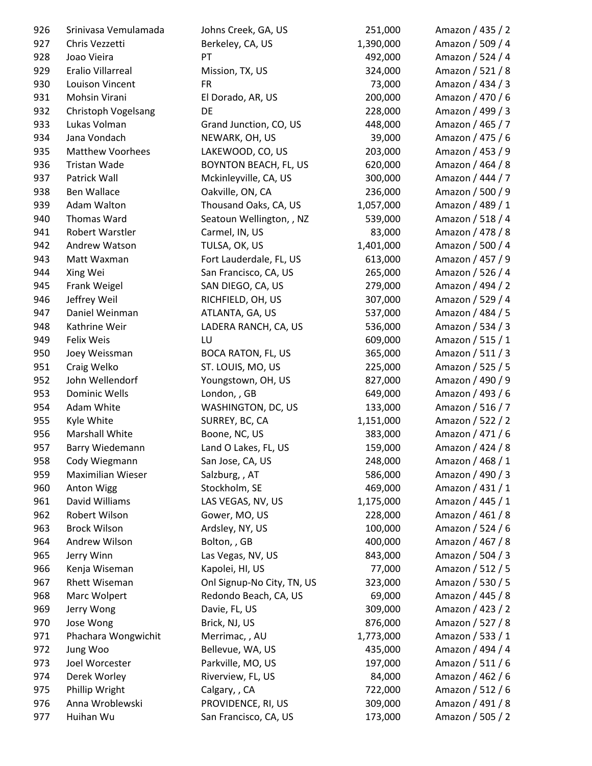| 926 | Srinivasa Vemulamada    | Johns Creek, GA, US          | 251,000   | Amazon / 435 / 2 |
|-----|-------------------------|------------------------------|-----------|------------------|
| 927 | Chris Vezzetti          | Berkeley, CA, US             | 1,390,000 | Amazon / 509 / 4 |
| 928 | Joao Vieira             | PT                           | 492,000   | Amazon / 524 / 4 |
| 929 | Eralio Villarreal       | Mission, TX, US              | 324,000   | Amazon / 521 / 8 |
| 930 | Louison Vincent         | <b>FR</b>                    | 73,000    | Amazon / 434 / 3 |
| 931 | Mohsin Virani           | El Dorado, AR, US            | 200,000   | Amazon / 470 / 6 |
| 932 | Christoph Vogelsang     | DE                           | 228,000   | Amazon / 499 / 3 |
| 933 | Lukas Volman            | Grand Junction, CO, US       | 448,000   | Amazon / 465 / 7 |
| 934 | Jana Vondach            | NEWARK, OH, US               | 39,000    | Amazon / 475 / 6 |
| 935 | <b>Matthew Voorhees</b> | LAKEWOOD, CO, US             | 203,000   | Amazon / 453 / 9 |
| 936 | Tristan Wade            | <b>BOYNTON BEACH, FL, US</b> | 620,000   | Amazon / 464 / 8 |
| 937 | Patrick Wall            | Mckinleyville, CA, US        | 300,000   | Amazon / 444 / 7 |
| 938 | Ben Wallace             | Oakville, ON, CA             | 236,000   | Amazon / 500 / 9 |
| 939 | Adam Walton             | Thousand Oaks, CA, US        | 1,057,000 | Amazon / 489 / 1 |
| 940 | Thomas Ward             | Seatoun Wellington, , NZ     | 539,000   | Amazon / 518 / 4 |
| 941 | Robert Warstler         | Carmel, IN, US               | 83,000    | Amazon / 478 / 8 |
| 942 | Andrew Watson           | TULSA, OK, US                | 1,401,000 | Amazon / 500 / 4 |
| 943 | Matt Waxman             | Fort Lauderdale, FL, US      | 613,000   | Amazon / 457 / 9 |
| 944 | Xing Wei                | San Francisco, CA, US        | 265,000   | Amazon / 526 / 4 |
| 945 | Frank Weigel            | SAN DIEGO, CA, US            | 279,000   | Amazon / 494 / 2 |
| 946 | Jeffrey Weil            | RICHFIELD, OH, US            | 307,000   | Amazon / 529 / 4 |
| 947 | Daniel Weinman          | ATLANTA, GA, US              | 537,000   | Amazon / 484 / 5 |
| 948 | Kathrine Weir           | LADERA RANCH, CA, US         | 536,000   | Amazon / 534 / 3 |
| 949 | <b>Felix Weis</b>       | LU                           | 609,000   | Amazon / 515 / 1 |
| 950 | Joey Weissman           | <b>BOCA RATON, FL, US</b>    | 365,000   | Amazon / 511 / 3 |
| 951 | Craig Welko             | ST. LOUIS, MO, US            | 225,000   | Amazon / 525 / 5 |
| 952 | John Wellendorf         | Youngstown, OH, US           | 827,000   | Amazon / 490 / 9 |
| 953 | <b>Dominic Wells</b>    | London, , GB                 | 649,000   | Amazon / 493 / 6 |
| 954 | Adam White              | WASHINGTON, DC, US           | 133,000   | Amazon / 516 / 7 |
| 955 | Kyle White              | SURREY, BC, CA               | 1,151,000 | Amazon / 522 / 2 |
| 956 | Marshall White          | Boone, NC, US                | 383,000   | Amazon / 471 / 6 |
| 957 | Barry Wiedemann         | Land O Lakes, FL, US         | 159,000   | Amazon / 424 / 8 |
| 958 | Cody Wiegmann           | San Jose, CA, US             | 248,000   | Amazon / 468 / 1 |
| 959 | Maximilian Wieser       | Salzburg, , AT               | 586,000   | Amazon / 490 / 3 |
| 960 | <b>Anton Wigg</b>       | Stockholm, SE                | 469,000   | Amazon / 431 / 1 |
| 961 | David Williams          | LAS VEGAS, NV, US            | 1,175,000 | Amazon / 445 / 1 |
| 962 | Robert Wilson           | Gower, MO, US                | 228,000   | Amazon / 461 / 8 |
| 963 | <b>Brock Wilson</b>     | Ardsley, NY, US              | 100,000   | Amazon / 524 / 6 |
| 964 | Andrew Wilson           | Bolton,, GB                  | 400,000   | Amazon / 467 / 8 |
| 965 | Jerry Winn              | Las Vegas, NV, US            | 843,000   | Amazon / 504 / 3 |
| 966 | Kenja Wiseman           | Kapolei, HI, US              | 77,000    | Amazon / 512 / 5 |
| 967 | Rhett Wiseman           | Onl Signup-No City, TN, US   | 323,000   | Amazon / 530 / 5 |
| 968 | Marc Wolpert            | Redondo Beach, CA, US        | 69,000    | Amazon / 445 / 8 |
| 969 | Jerry Wong              | Davie, FL, US                | 309,000   | Amazon / 423 / 2 |
| 970 | Jose Wong               | Brick, NJ, US                | 876,000   | Amazon / 527 / 8 |
| 971 | Phachara Wongwichit     | Merrimac, , AU               | 1,773,000 | Amazon / 533 / 1 |
| 972 | Jung Woo                | Bellevue, WA, US             | 435,000   | Amazon / 494 / 4 |
| 973 | Joel Worcester          | Parkville, MO, US            | 197,000   | Amazon / 511 / 6 |
| 974 | Derek Worley            | Riverview, FL, US            | 84,000    | Amazon / 462 / 6 |
| 975 | Phillip Wright          | Calgary, , CA                | 722,000   | Amazon / 512 / 6 |
| 976 | Anna Wroblewski         | PROVIDENCE, RI, US           | 309,000   | Amazon / 491 / 8 |
| 977 | Huihan Wu               | San Francisco, CA, US        | 173,000   | Amazon / 505 / 2 |
|     |                         |                              |           |                  |